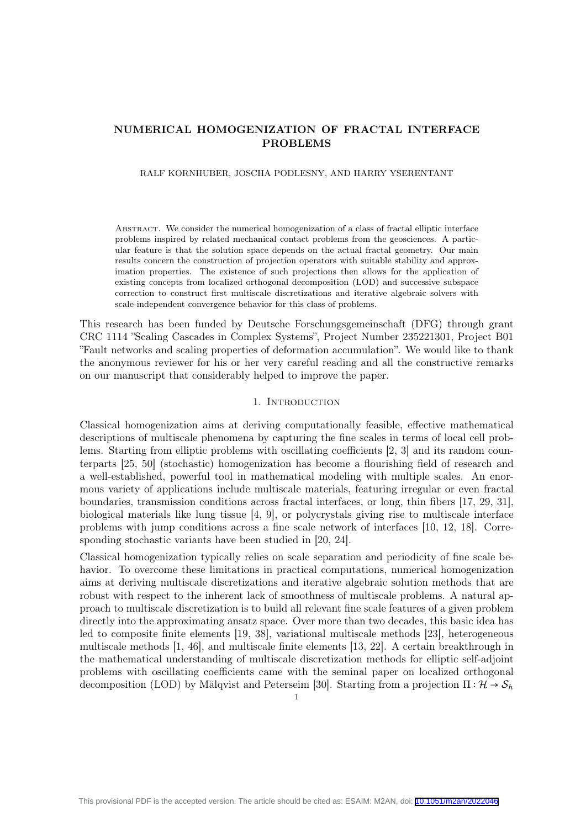# NUMERICAL HOMOGENIZATION OF FRACTAL INTERFACE PROBLEMS

RALF KORNHUBER, JOSCHA PODLESNY, AND HARRY YSERENTANT

Abstract. We consider the numerical homogenization of a class of fractal elliptic interface problems inspired by related mechanical contact problems from the geosciences. A particular feature is that the solution space depends on the actual fractal geometry. Our main results concern the construction of projection operators with suitable stability and approximation properties. The existence of such projections then allows for the application of existing concepts from localized orthogonal decomposition (LOD) and successive subspace correction to construct first multiscale discretizations and iterative algebraic solvers with scale-independent convergence behavior for this class of problems.

This research has been funded by Deutsche Forschungsgemeinschaft (DFG) through grant CRC 1114 "Scaling Cascades in Complex Systems", Project Number 235221301, Project B01 "Fault networks and scaling properties of deformation accumulation". We would like to thank the anonymous reviewer for his or her very careful reading and all the constructive remarks on our manuscript that considerably helped to improve the paper.

#### 1. INTRODUCTION

Classical homogenization aims at deriving computationally feasible, effective mathematical descriptions of multiscale phenomena by capturing the fine scales in terms of local cell problems. Starting from elliptic problems with oscillating coefficients [2, 3] and its random counterparts [25, 50] (stochastic) homogenization has become a flourishing field of research and a well-established, powerful tool in mathematical modeling with multiple scales. An enormous variety of applications include multiscale materials, featuring irregular or even fractal boundaries, transmission conditions across fractal interfaces, or long, thin fibers [17, 29, 31], biological materials like lung tissue [4, 9], or polycrystals giving rise to multiscale interface problems with jump conditions across a fine scale network of interfaces [10, 12, 18]. Corresponding stochastic variants have been studied in [20, 24].

Classical homogenization typically relies on scale separation and periodicity of fine scale behavior. To overcome these limitations in practical computations, numerical homogenization aims at deriving multiscale discretizations and iterative algebraic solution methods that are robust with respect to the inherent lack of smoothness of multiscale problems. A natural approach to multiscale discretization is to build all relevant fine scale features of a given problem directly into the approximating ansatz space. Over more than two decades, this basic idea has led to composite finite elements [19, 38], variational multiscale methods [23], heterogeneous multiscale methods [1, 46], and multiscale finite elements [13, 22]. A certain breakthrough in the mathematical understanding of multiscale discretization methods for elliptic self-adjoint problems with oscillating coefficients came with the seminal paper on localized orthogonal decomposition (LOD) by Målqvist and Peterseim [30]. Starting from a projection  $\Pi : \mathcal{H} \to \mathcal{S}_h$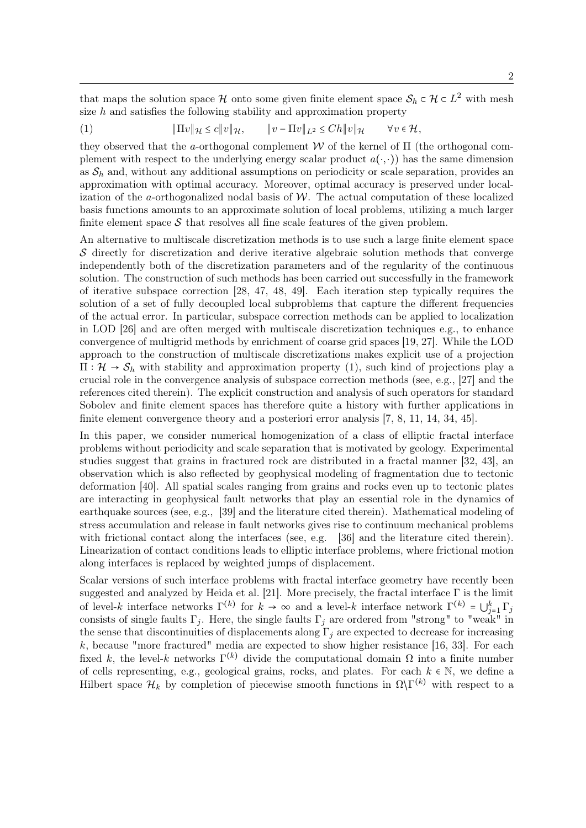that maps the solution space  $\mathcal H$  onto some given finite element space  $\mathcal S_h \subset \mathcal H \subset L^2$  with mesh size  $h$  and satisfies the following stability and approximation property

(1) ∥Πv∥<sup>H</sup> ≤ c∥v∥H, ∥v − Πv∥L<sup>2</sup> ≤ Ch∥v∥<sup>H</sup> ∀v ∈ H,

they observed that the a-orthogonal complement  $\mathcal W$  of the kernel of  $\Pi$  (the orthogonal complement with respect to the underlying energy scalar product  $a(\cdot, \cdot)$ ) has the same dimension as  $S_h$  and, without any additional assumptions on periodicity or scale separation, provides an approximation with optimal accuracy. Moreover, optimal accuracy is preserved under localization of the a-orthogonalized nodal basis of  $W$ . The actual computation of these localized basis functions amounts to an approximate solution of local problems, utilizing a much larger finite element space  $\mathcal S$  that resolves all fine scale features of the given problem.

An alternative to multiscale discretization methods is to use such a large finite element space S directly for discretization and derive iterative algebraic solution methods that converge independently both of the discretization parameters and of the regularity of the continuous solution. The construction of such methods has been carried out successfully in the framework of iterative subspace correction [28, 47, 48, 49]. Each iteration step typically requires the solution of a set of fully decoupled local subproblems that capture the different frequencies of the actual error. In particular, subspace correction methods can be applied to localization in LOD [26] and are often merged with multiscale discretization techniques e.g., to enhance convergence of multigrid methods by enrichment of coarse grid spaces [19, 27]. While the LOD approach to the construction of multiscale discretizations makes explicit use of a projection  $\Pi : \mathcal{H} \to \mathcal{S}_h$  with stability and approximation property (1), such kind of projections play a crucial role in the convergence analysis of subspace correction methods (see, e.g., [27] and the references cited therein). The explicit construction and analysis of such operators for standard Sobolev and finite element spaces has therefore quite a history with further applications in finite element convergence theory and a posteriori error analysis [7, 8, 11, 14, 34, 45].

In this paper, we consider numerical homogenization of a class of elliptic fractal interface problems without periodicity and scale separation that is motivated by geology. Experimental studies suggest that grains in fractured rock are distributed in a fractal manner [32, 43], an observation which is also reflected by geophysical modeling of fragmentation due to tectonic deformation [40]. All spatial scales ranging from grains and rocks even up to tectonic plates are interacting in geophysical fault networks that play an essential role in the dynamics of earthquake sources (see, e.g., [39] and the literature cited therein). Mathematical modeling of stress accumulation and release in fault networks gives rise to continuum mechanical problems with frictional contact along the interfaces (see, e.g. [36] and the literature cited therein). Linearization of contact conditions leads to elliptic interface problems, where frictional motion along interfaces is replaced by weighted jumps of displacement.

Scalar versions of such interface problems with fractal interface geometry have recently been suggested and analyzed by Heida et al. [21]. More precisely, the fractal interface Γ is the limit of level-k interface networks  $\Gamma^{(k)}$  for  $k \to \infty$  and a level-k interface network  $\Gamma^{(k)} = \bigcup_{j=1}^{k} \Gamma_j$ consists of single faults  $\Gamma_i$ . Here, the single faults  $\Gamma_i$  are ordered from "strong" to "weak" in the sense that discontinuities of displacements along  $\Gamma_i$  are expected to decrease for increasing  $k$ , because "more fractured" media are expected to show higher resistance [16, 33]. For each fixed k, the level-k networks  $\Gamma^{(k)}$  divide the computational domain  $\Omega$  into a finite number of cells representing, e.g., geological grains, rocks, and plates. For each  $k \in \mathbb{N}$ , we define a Hilbert space  $\mathcal{H}_k$  by completion of piecewise smooth functions in  $\Omega\backslash\Gamma^{(k)}$  with respect to a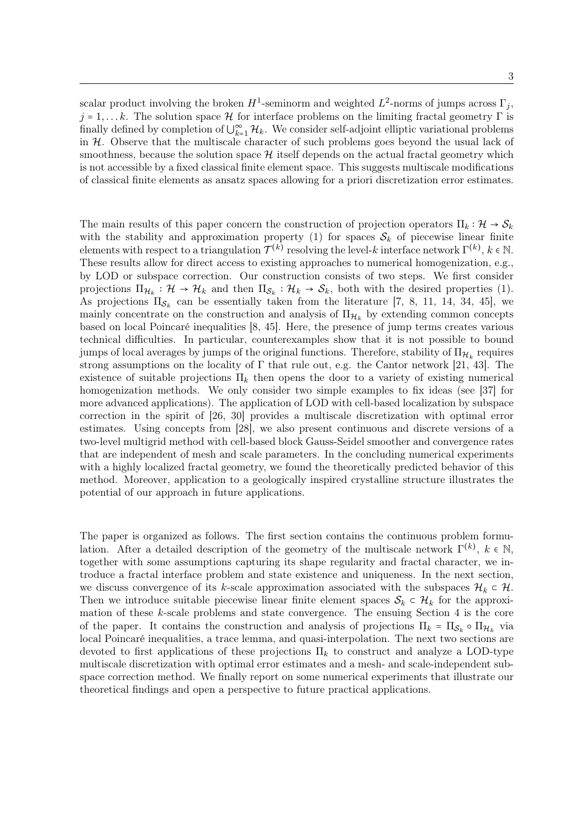scalar product involving the broken  $H^1$ -seminorm and weighted  $L^2$ -norms of jumps across  $\Gamma_j$ ,  $j = 1, \ldots, k$ . The solution space H for interface problems on the limiting fractal geometry  $\Gamma$  is finally defined by completion of  $\bigcup_{k=1}^{\infty} \mathcal{H}_k$ . We consider self-adjoint elliptic variational problems in  $H$ . Observe that the multiscale character of such problems goes beyond the usual lack of smoothness, because the solution space  $\mathcal{H}$  itself depends on the actual fractal geometry which is not accessible by a fixed classical finite element space. This suggests multiscale modifications of classical finite elements as ansatz spaces allowing for a priori discretization error estimates.

The main results of this paper concern the construction of projection operators  $\Pi_k : \mathcal{H} \to \mathcal{S}_k$ with the stability and approximation property (1) for spaces  $S_k$  of piecewise linear finite elements with respect to a triangulation  $\mathcal{T}^{(k)}$  resolving the level-k interface network  $\Gamma^{(k)},$  k  $\in \mathbb{N}$ . These results allow for direct access to existing approaches to numerical homogenization, e.g., by LOD or subspace correction. Our construction consists of two steps. We first consider projections  $\Pi_{\mathcal{H}_k} : \mathcal{H} \to \mathcal{H}_k$  and then  $\Pi_{\mathcal{S}_k} : \mathcal{H}_k \to \mathcal{S}_k$ , both with the desired properties (1). As projections  $\Pi_{\mathcal{S}_k}$  can be essentially taken from the literature [7, 8, 11, 14, 34, 45], we mainly concentrate on the construction and analysis of  $\Pi_{\mathcal{H}_k}$  by extending common concepts based on local Poincaré inequalities [8, 45]. Here, the presence of jump terms creates various technical difficulties. In particular, counterexamples show that it is not possible to bound jumps of local averages by jumps of the original functions. Therefore, stability of  $\Pi_{\mathcal{H}_k}$  requires strong assumptions on the locality of  $\Gamma$  that rule out, e.g. the Cantor network [21, 43]. The existence of suitable projections  $\Pi_k$  then opens the door to a variety of existing numerical homogenization methods. We only consider two simple examples to fix ideas (see [37] for more advanced applications). The application of LOD with cell-based localization by subspace correction in the spirit of [26, 30] provides a multiscale discretization with optimal error estimates. Using concepts from [28], we also present continuous and discrete versions of a two-level multigrid method with cell-based block Gauss-Seidel smoother and convergence rates that are independent of mesh and scale parameters. In the concluding numerical experiments with a highly localized fractal geometry, we found the theoretically predicted behavior of this method. Moreover, application to a geologically inspired crystalline structure illustrates the potential of our approach in future applications.

The paper is organized as follows. The first section contains the continuous problem formulation. After a detailed description of the geometry of the multiscale network  $\Gamma^{(k)}$ ,  $k \in \mathbb{N}$ , together with some assumptions capturing its shape regularity and fractal character, we introduce a fractal interface problem and state existence and uniqueness. In the next section, we discuss convergence of its k-scale approximation associated with the subspaces  $\mathcal{H}_k \subset \mathcal{H}$ . Then we introduce suitable piecewise linear finite element spaces  $S_k \subset \mathcal{H}_k$  for the approximation of these  $k$ -scale problems and state convergence. The ensuing Section 4 is the core of the paper. It contains the construction and analysis of projections  $\Pi_k = \Pi_{\mathcal{S}_k} \circ \Pi_{\mathcal{H}_k}$  via local Poincaré inequalities, a trace lemma, and quasi-interpolation. The next two sections are devoted to first applications of these projections  $\Pi_k$  to construct and analyze a LOD-type multiscale discretization with optimal error estimates and a mesh- and scale-independent subspace correction method. We finally report on some numerical experiments that illustrate our theoretical findings and open a perspective to future practical applications.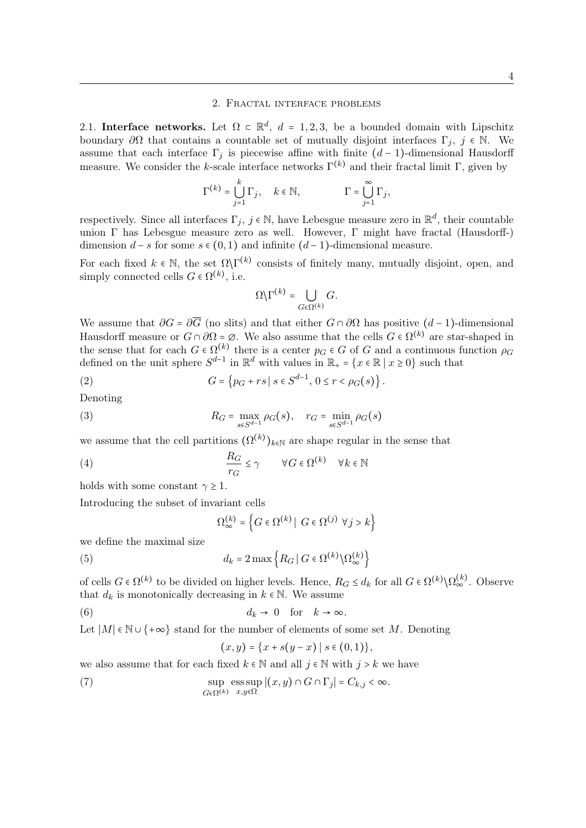#### 2. Fractal interface problems

2.1. Interface networks. Let  $\Omega \subset \mathbb{R}^d$ ,  $d = 1, 2, 3$ , be a bounded domain with Lipschitz boundary  $\partial\Omega$  that contains a countable set of mutually disjoint interfaces  $\Gamma_i$ ,  $j \in \mathbb{N}$ . We assume that each interface  $\Gamma_i$  is piecewise affine with finite  $(d-1)$ -dimensional Hausdorff measure. We consider the k-scale interface networks  $\Gamma^{(k)}$  and their fractal limit  $\Gamma$ , given by

$$
\Gamma^{(k)} = \bigcup_{j=1}^{k} \Gamma_j, \quad k \in \mathbb{N}, \qquad \qquad \Gamma = \bigcup_{j=1}^{\infty} \Gamma_j,
$$

respectively. Since all interfaces  $\Gamma_j$ ,  $j \in \mathbb{N}$ , have Lebesgue measure zero in  $\mathbb{R}^d$ , their countable union Γ has Lebesgue measure zero as well. However, Γ might have fractal (Hausdorff-) dimension  $d - s$  for some  $s \in (0, 1)$  and infinite  $(d - 1)$ -dimensional measure.

For each fixed  $k \in \mathbb{N}$ , the set  $\Omega \backslash \Gamma^{(k)}$  consists of finitely many, mutually disjoint, open, and simply connected cells  $G \in \Omega^{(k)}$ , i.e.

$$
\Omega\backslash\Gamma^{(k)}=\bigcup_{G\in\Omega^{(k)}}G.
$$

We assume that  $\partial G = \partial \overline{G}$  (no slits) and that either  $G \cap \partial \Omega$  has positive  $(d-1)$ -dimensional Hausdorff measure or  $G \cap \partial\Omega = \emptyset$ . We also assume that the cells  $G \in \Omega^{(k)}$  are star-shaped in the sense that for each  $G \in \Omega^{(k)}$  there is a center  $p_G \in G$  of G and a continuous function  $\rho_G$ defined on the unit sphere  $S^{d-1}$  in  $\mathbb{R}^d$  with values in  $\mathbb{R}_+ = \{x \in \mathbb{R} \mid x \geq 0\}$  such that

(2) 
$$
G = \{p_G + rs \mid s \in S^{d-1}, 0 \le r < \rho_G(s)\}.
$$

Denoting

(3) 
$$
R_G = \max_{s \in S^{d-1}} \rho_G(s), \quad r_G = \min_{s \in S^{d-1}} \rho_G(s)
$$

we assume that the cell partitions  $(\Omega^{(k)})_{k \in \mathbb{N}}$  are shape regular in the sense that

(4) 
$$
\frac{R_G}{r_G} \le \gamma \qquad \forall G \in \Omega^{(k)} \quad \forall k \in \mathbb{N}
$$

holds with some constant  $\gamma \geq 1$ .

Introducing the subset of invariant cells

$$
\Omega_{\infty}^{(k)} = \left\{ G \in \Omega^{(k)} \mid G \in \Omega^{(j)} \; \forall j > k \right\}
$$

we define the maximal size

(5) 
$$
d_k = 2 \max \left\{ R_G \, | \, G \in \Omega^{(k)} \backslash \Omega_{\infty}^{(k)} \right\}
$$

of cells  $G \in \Omega^{(k)}$  to be divided on higher levels. Hence,  $R_G \leq d_k$  for all  $G \in \Omega^{(k)} \setminus \Omega_{\infty}^{(k)}$ . Observe that  $d_k$  is monotonically decreasing in  $k \in \mathbb{N}$ . We assume

(6) 
$$
d_k \to 0 \quad \text{for} \quad k \to \infty.
$$

Let  $|M| \in \mathbb{N} \cup \{+\infty\}$  stand for the number of elements of some set M. Denoting

$$
(x,y) = \{x + s(y-x) \mid s \in (0,1)\},\
$$

we also assume that for each fixed  $k \in \mathbb{N}$  and all  $j \in \mathbb{N}$  with  $j > k$  we have

(7) 
$$
\sup_{G \in \Omega^{(k)}} \operatorname{ess} \sup_{x,y \in \Omega} |(x,y) \cap G \cap \Gamma_j| = C_{k,j} < \infty.
$$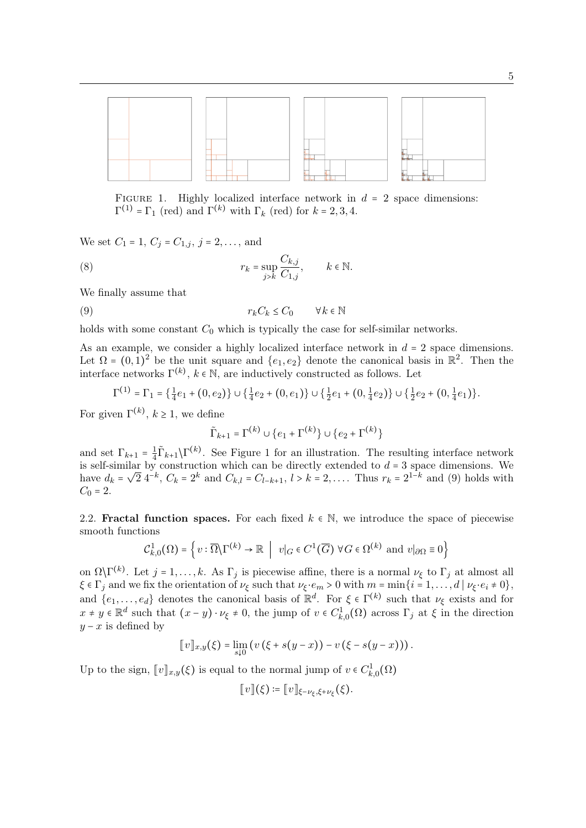

FIGURE 1. Highly localized interface network in  $d = 2$  space dimensions:  $\Gamma^{(1)} = \Gamma_1$  (red) and  $\Gamma^{(k)}$  with  $\Gamma_k$  (red) for  $k = 2, 3, 4$ .

We set  $C_1 = 1, C_j = C_{1,j}, j = 2, \ldots$ , and

(8) 
$$
r_k = \sup_{j>k} \frac{C_{k,j}}{C_{1,j}}, \qquad k \in \mathbb{N}.
$$

We finally assume that

$$
(9) \t\t\t\t r_k C_k \le C_0 \t\t \forall k \in \mathbb{N}
$$

holds with some constant  $C_0$  which is typically the case for self-similar networks.

As an example, we consider a highly localized interface network in  $d = 2$  space dimensions. Let  $\Omega = (0, 1)^2$  be the unit square and  $\{e_1, e_2\}$  denote the canonical basis in  $\mathbb{R}^2$ . Then the interface networks  $\Gamma^{(k)}$ ,  $k \in \mathbb{N}$ , are inductively constructed as follows. Let

$$
\Gamma^{(1)} = \Gamma_1 = \left\{ \frac{1}{4}e_1 + (0, e_2) \right\} \cup \left\{ \frac{1}{4}e_2 + (0, e_1) \right\} \cup \left\{ \frac{1}{2}e_1 + (0, \frac{1}{4}e_2) \right\} \cup \left\{ \frac{1}{2}e_2 + (0, \frac{1}{4}e_1) \right\}.
$$

For given  $\Gamma^{(k)}$ ,  $k \geq 1$ , we define

$$
\tilde{\Gamma}_{k+1} = \Gamma^{(k)} \cup \{e_1 + \Gamma^{(k)}\} \cup \{e_2 + \Gamma^{(k)}\}
$$

and set  $\Gamma_{k+1} = \frac{1}{4}$  $\frac{1}{4}\tilde{\Gamma}_{k+1}\backslash\Gamma^{(k)}$ . See Figure 1 for an illustration. The resulting interface network is self-similar by construction which can be directly extended to  $d = 3$  space dimensions. We is sen-similar by construction which can be directly extended to  $u = 3$  space dimensions. We have  $d_k = \sqrt{2} 4^{-k}$ ,  $C_k = 2^k$  and  $C_{k,l} = C_{l-k+1}$ ,  $l > k = 2, \ldots$ . Thus  $r_k = 2^{1-k}$  and (9) holds with  $C_0 = 2.$ 

2.2. **Fractal function spaces.** For each fixed  $k \in \mathbb{N}$ , we introduce the space of piecewise smooth functions

$$
\mathcal{C}_{k,0}^1(\Omega) = \left\{ v : \overline{\Omega} \backslash \Gamma^{(k)} \to \mathbb{R} \middle| v \middle|_{G} \in C^1(\overline{G}) \,\,\forall G \in \Omega^{(k)} \text{ and } v \middle|_{\partial\Omega} \equiv 0 \right\}
$$

on  $\Omega\backslash\Gamma^{(k)}$ . Let  $j = 1, \ldots, k$ . As  $\Gamma_j$  is piecewise affine, there is a normal  $\nu_{\xi}$  to  $\Gamma_j$  at almost all  $\xi \in \Gamma_j$  and we fix the orientation of  $\nu_{\xi}$  such that  $\nu_{\xi} \cdot e_m > 0$  with  $m = \min\{i = 1, \ldots, d \mid \nu_{\xi} \cdot e_i \neq 0\},$ and  $\{e_1,\ldots,e_d\}$  denotes the canonical basis of  $\mathbb{R}^d$ . For  $\xi \in \Gamma^{(k)}$  such that  $\nu_{\xi}$  exists and for  $x \neq y \in \mathbb{R}^d$  such that  $(x - y) \cdot \nu_{\xi} \neq 0$ , the jump of  $v \in C^1_{k,0}(\Omega)$  across  $\Gamma_j$  at  $\xi$  in the direction  $y - x$  is defined by

$$
[v]_{x,y}(\xi) = \lim_{s\downarrow 0} (v(\xi + s(y-x)) - v(\xi - s(y-x))).
$$

Up to the sign,  $[\![v]\!]_{x,y}(\xi)$  is equal to the normal jump of  $v \in C^1_{k,0}(\Omega)$ 

$$
[[v]](\xi) \coloneqq [[v]]_{\xi-\nu_{\xi},\xi+\nu_{\xi}}(\xi).
$$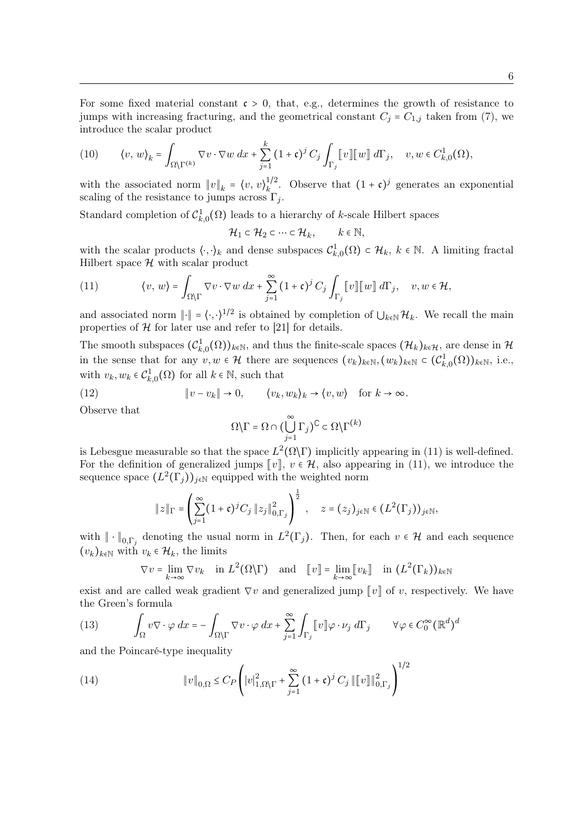For some fixed material constant  $\mathfrak{c} > 0$ , that, e.g., determines the growth of resistance to jumps with increasing fracturing, and the geometrical constant  $C_j = C_{1,j}$  taken from (7), we introduce the scalar product

(10) 
$$
\langle v, w \rangle_k = \int_{\Omega \setminus \Gamma^{(k)}} \nabla v \cdot \nabla w \, dx + \sum_{j=1}^k (1 + \mathfrak{c})^j C_j \int_{\Gamma_j} [v] [w] \, d\Gamma_j, \quad v, w \in C^1_{k,0}(\Omega),
$$

with the associated norm  $||v||_k = \langle v, v \rangle_k^{1/2}$  $\int_k^{1/2}$ . Observe that  $(1 + \mathfrak{c})^j$  generates an exponential scaling of the resistance to jumps across  $\Gamma_j$ .

Standard completion of  $C_{k,0}^1(\Omega)$  leads to a hierarchy of k-scale Hilbert spaces

 $\mathcal{H}_1 \subset \mathcal{H}_2 \subset \cdots \subset \mathcal{H}_k, \qquad k \in \mathbb{N},$ 

with the scalar products  $\langle \cdot, \cdot \rangle_k$  and dense subspaces  $\mathcal{C}^1_{k,0}(\Omega) \subset \mathcal{H}_k$ ,  $k \in \mathbb{N}$ . A limiting fractal Hilbert space  $H$  with scalar product

(11) 
$$
\langle v, w \rangle = \int_{\Omega \setminus \Gamma} \nabla v \cdot \nabla w \, dx + \sum_{j=1}^{\infty} (1 + \mathfrak{c})^j C_j \int_{\Gamma_j} [v] [w] \, d\Gamma_j, \quad v, w \in \mathcal{H},
$$

and associated norm  $\|\cdot\| = \langle \cdot, \cdot \rangle^{1/2}$  is obtained by completion of  $\bigcup_{k \in \mathbb{N}} \mathcal{H}_k$ . We recall the main properties of  $H$  for later use and refer to [21] for details.

The smooth subspaces  $(\mathcal{C}_{k,0}^1(\Omega))_{k\in\mathbb{N}}$ , and thus the finite-scale spaces  $(\mathcal{H}_k)_{k\in\mathcal{H}}$ , are dense in  $\mathcal{H}_k$ in the sense that for any  $v, w \in \mathcal{H}$  there are sequences  $(v_k)_{k \in \mathbb{N}}$ ,  $(w_k)_{k \in \mathbb{N}} \in (\mathcal{C}_{k,0}^1(\Omega))_{k \in \mathbb{N}}$ , i.e., with  $v_k, w_k \in C^1_{k,0}(\Omega)$  for all  $k \in \mathbb{N}$ , such that

(12) 
$$
\|v - v_k\| \to 0, \qquad \langle v_k, w_k \rangle_k \to \langle v, w \rangle \quad \text{for } k \to \infty.
$$

Observe that

$$
\Omega\backslash\Gamma=\Omega\cap\bigl(\bigcup_{j=1}^\infty\Gamma_j\bigr)^\complement\subset\Omega\backslash\Gamma^{(k)}
$$

is Lebesgue measurable so that the space  $L^2(\Omega \backslash \Gamma)$  implicitly appearing in (11) is well-defined. For the definition of generalized jumps  $\llbracket v \rrbracket$ ,  $v \in \mathcal{H}$ , also appearing in (11), we introduce the sequence space  $(L^2(\Gamma_j))_{j\in\mathbb{N}}$  equipped with the weighted norm

$$
||z||_{\Gamma} = \left(\sum_{j=1}^{\infty} (1+\mathfrak{c})^j C_j ||z_j||_{0,\Gamma_j}^2\right)^{\frac{1}{2}}, \quad z = (z_j)_{j \in \mathbb{N}} \in (L^2(\Gamma_j))_{j \in \mathbb{N}},
$$

with  $\|\cdot\|_{0,\Gamma_j}$  denoting the usual norm in  $L^2(\Gamma_j)$ . Then, for each  $v \in \mathcal{H}$  and each sequence  $(v_k)_{k\in\mathbb{N}}$  with  $v_k \in \mathcal{H}_k$ , the limits

$$
\nabla v = \lim_{k \to \infty} \nabla v_k \quad \text{in } L^2(\Omega \backslash \Gamma) \quad \text{and} \quad [v] = \lim_{k \to \infty} [v_k] \quad \text{in } (L^2(\Gamma_k))_{k \in \mathbb{N}}
$$

exist and are called weak gradient  $\nabla v$  and generalized jump  $[v]$  of v, respectively. We have the Green's formula

(13) 
$$
\int_{\Omega} v \nabla \cdot \varphi \, dx = - \int_{\Omega \backslash \Gamma} \nabla v \cdot \varphi \, dx + \sum_{j=1}^{\infty} \int_{\Gamma_j} [v] \varphi \cdot \nu_j \, d\Gamma_j \qquad \forall \varphi \in C_0^{\infty} (\mathbb{R}^d)^d
$$

and the Poincaré-type inequality

(14) 
$$
\|v\|_{0,\Omega} \leq C_P \left( |v|_{1,\Omega\setminus\Gamma}^2 + \sum_{j=1}^{\infty} (1+\mathfrak{c})^j C_j \| \|v\|_{0,\Gamma_j}^2 \right)^{1/2}
$$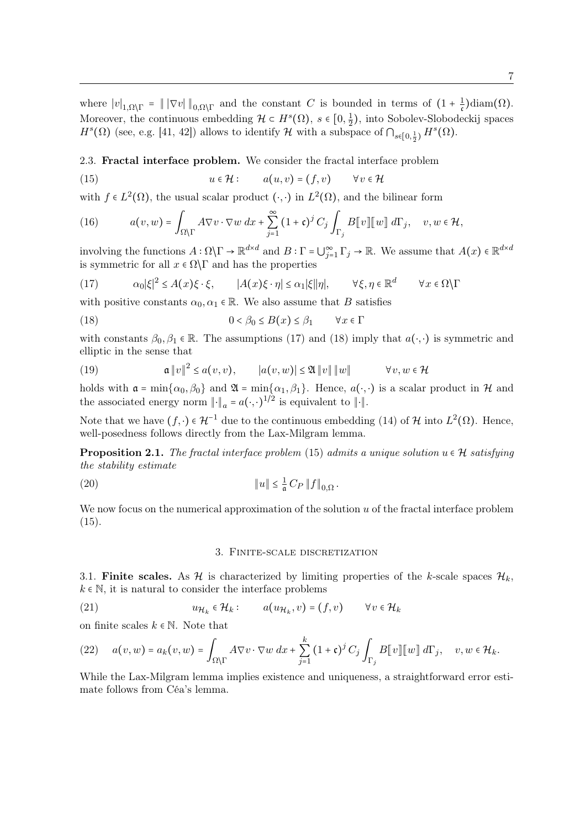where  $|v|_{1,\Omega\setminus\Gamma} = ||\nabla v||_{0,\Omega\setminus\Gamma}$  and the constant C is bounded in terms of  $(1 + \frac{1}{\mathfrak{c}})$  $\frac{1}{\mathfrak{c}}$ )diam $(\Omega)$ . Moreover, the continuous embedding  $\mathcal{H} \subset H^s(\Omega)$ ,  $s \in [0, \frac{1}{2}]$  $(\frac{1}{2})$ , into Sobolev-Slobodeckij spaces  $H^s(\Omega)$  (see, e.g. [41, 42]) allows to identify  $\mathcal H$  with a subspace of  $\bigcap_{s\in[0,\frac{1}{2})}H^s(\Omega)$ .

2.3. Fractal interface problem. We consider the fractal interface problem

(15) 
$$
u \in \mathcal{H} : \qquad a(u,v) = (f,v) \qquad \forall v \in \mathcal{H}
$$

with  $f \in L^2(\Omega)$ , the usual scalar product  $(\cdot, \cdot)$  in  $L^2(\Omega)$ , and the bilinear form

(16) 
$$
a(v, w) = \int_{\Omega \backslash \Gamma} A \nabla v \cdot \nabla w \, dx + \sum_{j=1}^{\infty} (1 + \mathfrak{c})^j C_j \int_{\Gamma_j} B[\![v]\!][\![w]\!] \, d\Gamma_j, \quad v, w \in \mathcal{H},
$$

involving the functions  $A: \Omega \backslash \Gamma \to \mathbb{R}^{d \times d}$  and  $B: \Gamma = \bigcup_{j=1}^{\infty} \Gamma_j \to \mathbb{R}$ . We assume that  $A(x) \in \mathbb{R}^{d \times d}$ is symmetric for all  $x \in \Omega \backslash \Gamma$  and has the properties

(17) 
$$
\alpha_0 |\xi|^2 \le A(x)\xi \cdot \xi, \qquad |A(x)\xi \cdot \eta| \le \alpha_1 |\xi| |\eta|, \qquad \forall \xi, \eta \in \mathbb{R}^d \qquad \forall x \in \Omega \setminus \Gamma
$$

with positive constants  $\alpha_0, \alpha_1 \in \mathbb{R}$ . We also assume that B satisfies

(18) 
$$
0 < \beta_0 \le B(x) \le \beta_1 \qquad \forall x \in \Gamma
$$

with constants  $\beta_0, \beta_1 \in \mathbb{R}$ . The assumptions (17) and (18) imply that  $a(\cdot, \cdot)$  is symmetric and elliptic in the sense that

(19) 
$$
\mathfrak{a}\|v\|^2 \leq a(v,v), \qquad |a(v,w)| \leq \mathfrak{A}\|v\| \|w\| \qquad \forall v, w \in \mathcal{H}
$$

holds with  $\mathfrak{a} = \min\{\alpha_0, \beta_0\}$  and  $\mathfrak{A} = \min\{\alpha_1, \beta_1\}$ . Hence,  $a(\cdot, \cdot)$  is a scalar product in  $\mathcal{H}$  and the associated energy norm  $\|\cdot\|_a = a(\cdot, \cdot)^{1/2}$  is equivalent to  $\|\cdot\|$ .

Note that we have  $(f, \cdot) \in \mathcal{H}^{-1}$  due to the continuous embedding (14) of H into  $L^2(\Omega)$ . Hence, well-posedness follows directly from the Lax-Milgram lemma.

**Proposition 2.1.** The fractal interface problem (15) admits a unique solution  $u \in \mathcal{H}$  satisfying the stability estimate

(20) 
$$
\|u\| \leq \frac{1}{a} C_P \|f\|_{0,\Omega}.
$$

We now focus on the numerical approximation of the solution  $u$  of the fractal interface problem  $(15).$ 

#### 3. Finite-scale discretization

3.1. Finite scales. As H is characterized by limiting properties of the k-scale spaces  $\mathcal{H}_k$ ,  $k \in \mathbb{N}$ , it is natural to consider the interface problems

(21) 
$$
u_{\mathcal{H}_k} \in \mathcal{H}_k: \qquad a(u_{\mathcal{H}_k}, v) = (f, v) \qquad \forall v \in \mathcal{H}_k
$$

on finite scales  $k \in \mathbb{N}$ . Note that

(22) 
$$
a(v, w) = a_k(v, w) = \int_{\Omega \backslash \Gamma} A \nabla v \cdot \nabla w \, dx + \sum_{j=1}^k (1 + \mathfrak{c})^j C_j \int_{\Gamma_j} B[v] [w] d\Gamma_j, \quad v, w \in \mathcal{H}_k.
$$

While the Lax-Milgram lemma implies existence and uniqueness, a straightforward error estimate follows from Céa's lemma.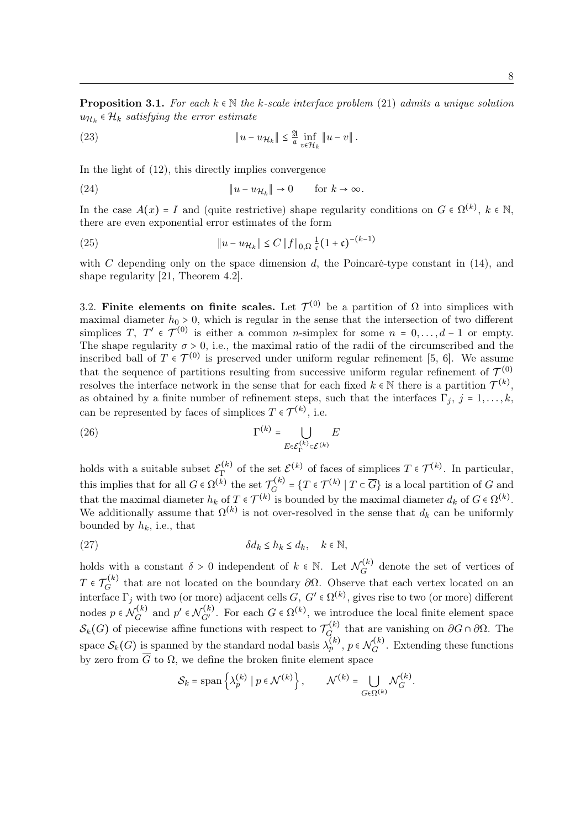**Proposition 3.1.** For each  $k \in \mathbb{N}$  the k-scale interface problem (21) admits a unique solution  $u_{\mathcal{H}_k}$   $\in \mathcal{H}_k$  satisfying the error estimate

(23) 
$$
\|u - u_{\mathcal{H}_k}\| \leq \frac{2}{\mathfrak{a}} \inf_{v \in \mathcal{H}_k} \|u - v\|.
$$

In the light of (12), this directly implies convergence

(24) 
$$
\|u - u_{\mathcal{H}_k}\| \to 0 \quad \text{for } k \to \infty.
$$

In the case  $A(x) = I$  and (quite restrictive) shape regularity conditions on  $G \in \Omega^{(k)}$ ,  $k \in \mathbb{N}$ , there are even exponential error estimates of the form

(25) 
$$
\|u - u_{\mathcal{H}_k}\| \le C \|f\|_{0,\Omega} \frac{1}{\mathfrak{c}} (1 + \mathfrak{c})^{-(k-1)}
$$

with C depending only on the space dimension  $d$ , the Poincaré-type constant in (14), and shape regularity [21, Theorem 4.2].

3.2. Finite elements on finite scales. Let  $\mathcal{T}^{(0)}$  be a partition of  $\Omega$  into simplices with maximal diameter  $h_0 > 0$ , which is regular in the sense that the intersection of two different simplices T,  $T' \in \mathcal{T}^{(0)}$  is either a common *n*-simplex for some  $n = 0, \ldots, d - 1$  or empty. The shape regularity  $\sigma > 0$ , i.e., the maximal ratio of the radii of the circumscribed and the inscribed ball of  $T \in \mathcal{T}^{(0)}$  is preserved under uniform regular refinement [5, 6]. We assume that the sequence of partitions resulting from successive uniform regular refinement of  $\mathcal{T}^{(0)}$ resolves the interface network in the sense that for each fixed  $k \in \mathbb{N}$  there is a partition  $\mathcal{T}^{(k)}$ , as obtained by a finite number of refinement steps, such that the interfaces  $\Gamma_j$ ,  $j = 1, \ldots, k$ , can be represented by faces of simplices  $T \in \mathcal{T}^{(k)}$ , i.e.

(26) 
$$
\Gamma^{(k)} = \bigcup_{E \in \mathcal{E}_{\Gamma}^{(k)} \subset \mathcal{E}^{(k)}} E
$$

holds with a suitable subset  $\mathcal{E}_{\Gamma}^{(k)}$  $\Gamma^{(k)}$  of the set  $\mathcal{E}^{(k)}$  of faces of simplices  $T \in \mathcal{T}^{(k)}$ . In particular, this implies that for all  $G \in \Omega^{(k)}$  the set  $\mathcal{T}_G^{(k)}$  $G_G^{(k)} = \{T \in \mathcal{T}^{(k)} \mid T \subset \overline{G}\}$  is a local partition of G and that the maximal diameter  $h_k$  of  $T \in \mathcal{T}^{(k)}$  is bounded by the maximal diameter  $d_k$  of  $G \in \Omega^{(k)}$ . We additionally assume that  $\Omega^{(k)}$  is not over-resolved in the sense that  $d_k$  can be uniformly bounded by  $h_k$ , i.e., that

(27) 
$$
\delta d_k \leq h_k \leq d_k, \quad k \in \mathbb{N},
$$

holds with a constant  $\delta > 0$  independent of  $k \in \mathbb{N}$ . Let  $\mathcal{N}_G^{(k)}$  $G$ <sup>( $\kappa$ )</sup> denote the set of vertices of  $T\in\mathcal{T}^{(k)}_G$  $G_G^{(k)}$  that are not located on the boundary  $\partial\Omega$ . Observe that each vertex located on an interface  $\Gamma_j$  with two (or more) adjacent cells  $G, G' \in \Omega^{(k)}$ , gives rise to two (or more) different nodes  $p \in \mathcal{N}_G^{(k)}$  $G_G^{(k)}$  and  $p' \in \mathcal{N}_{G'}^{(k)}$ . For each  $G \in \Omega^{(k)}$ , we introduce the local finite element space  $\mathcal{S}_k(G)$  of piecewise affine functions with respect to  $\mathcal{T}_G^{(k)}$  $\mathcal{L}_{G_{\text{tot}}}^{(k)}$  that are vanishing on  $\partial G \cap \partial \Omega$ . The space  $\mathcal{S}_k(G)$  is spanned by the standard nodal basis  $\lambda_p^{(k)}$ ,  $p \in \mathcal{N}_G^{(k)}$  $G_G^{(k)}$ . Extending these functions by zero from  $\overline{G}$  to  $\Omega$ , we define the broken finite element space

$$
\mathcal{S}_k = \text{span}\left\{\lambda_p^{(k)} \mid p \in \mathcal{N}^{(k)}\right\}, \qquad \mathcal{N}^{(k)} = \bigcup_{G \in \Omega^{(k)}} \mathcal{N}_G^{(k)}.
$$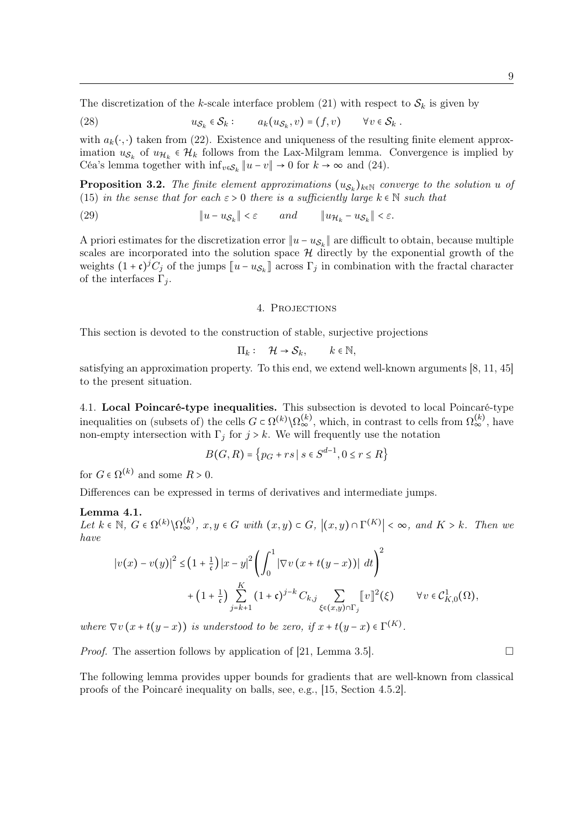The discretization of the k-scale interface problem (21) with respect to  $S_k$  is given by

(28) 
$$
u_{\mathcal{S}_k} \in \mathcal{S}_k: \qquad a_k(u_{\mathcal{S}_k}, v) = (f, v) \qquad \forall v \in \mathcal{S}_k.
$$

with  $a_k(\cdot, \cdot)$  taken from (22). Existence and uniqueness of the resulting finite element approximation  $u_{\mathcal{S}_k}$  of  $u_{\mathcal{H}_k} \in \mathcal{H}_k$  follows from the Lax-Milgram lemma. Convergence is implied by Céa's lemma together with  $\inf_{v \in S_k} ||u - v|| \to 0$  for  $k \to \infty$  and (24).

**Proposition 3.2.** The finite element approximations  $(u_{\mathcal{S}_k})_{k \in \mathbb{N}}$  converge to the solution u of (15) in the sense that for each  $\varepsilon > 0$  there is a sufficiently large  $k \in \mathbb{N}$  such that

(29)  $||u - u_{\mathcal{S}_k}|| < \varepsilon$  and  $||u_{\mathcal{H}_k} - u_{\mathcal{S}_k}||$  $||u_{\mathcal{H}_k} - u_{\mathcal{S}_k}|| < \varepsilon.$ 

A priori estimates for the discretization error  $||u - u_{S_k}||$  are difficult to obtain, because multiple scales are incorporated into the solution space  $H$  directly by the exponential growth of the weights  $(1+\mathfrak{c})^j C_j$  of the jumps  $\llbracket u - u_{\mathcal{S}_k} \rrbracket$  across  $\Gamma_j$  in combination with the fractal character of the interfaces  $\Gamma_i$ .

### 4. Projections

This section is devoted to the construction of stable, surjective projections

$$
\Pi_k: \quad \mathcal{H} \to \mathcal{S}_k, \qquad k \in \mathbb{N},
$$

satisfying an approximation property. To this end, we extend well-known arguments [8, 11, 45] to the present situation.

4.1. Local Poincaré-type inequalities. This subsection is devoted to local Poincaré-type inequalities on (subsets of) the cells  $G \subset \Omega^{(k)} \setminus \Omega_{\infty}^{(k)}$ , which, in contrast to cells from  $\Omega_{\infty}^{(k)}$ , have non-empty intersection with  $\Gamma_j$  for  $j > k$ . We will frequently use the notation

$$
B(G, R) = \{p_G + rs \mid s \in S^{d-1}, 0 \le r \le R\}
$$

for  $G \in \Omega^{(k)}$  and some  $R > 0$ .

Differences can be expressed in terms of derivatives and intermediate jumps.

### Lemma 4.1.

Let  $k \in \mathbb{N}$ ,  $G \in \Omega^{(k)} \setminus \Omega_{\infty}^{(k)}$ ,  $x, y \in G$  with  $(x, y) \subset G$ ,  $|(x, y) \cap \Gamma^{(K)}| < \infty$ , and  $K > k$ . Then we have

$$
\left|v(x) - v(y)\right|^2 \leq \left(1 + \frac{1}{\mathfrak{c}}\right) \left|x - y\right|^2 \left(\int_0^1 \left|\nabla v\left(x + t(y - x)\right)\right| \, dt\right)^2
$$
  
+ 
$$
\left(1 + \frac{1}{\mathfrak{c}}\right) \sum_{j=k+1}^K \left(1 + \mathfrak{c}\right)^{j-k} C_{k,j} \sum_{\xi \in (x,y) \cap \Gamma_j} \left[v\right]^2(\xi) \qquad \forall v \in \mathcal{C}_{K,0}^1(\Omega),
$$

where  $\nabla v(x+t(y-x))$  is understood to be zero, if  $x+t(y-x) \in \Gamma^{(K)}$ .

*Proof.* The assertion follows by application of [21, Lemma 3.5].

The following lemma provides upper bounds for gradients that are well-known from classical proofs of the Poincaré inequality on balls, see, e.g., [15, Section 4.5.2].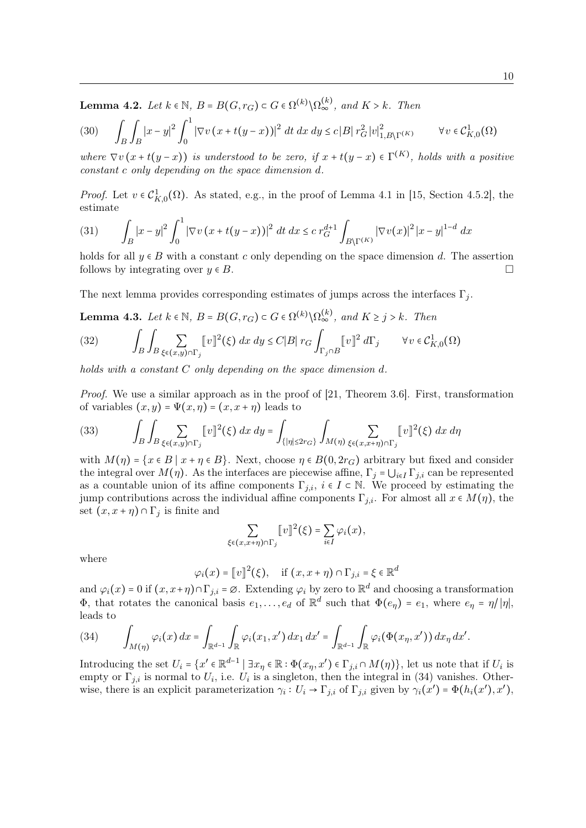**Lemma 4.2.** Let  $k \in \mathbb{N}$ ,  $B = B(G, r_G) \subset G \in \Omega^{(k)} \setminus \Omega_{\infty}^{(k)}$ , and  $K > k$ . Then

$$
(30) \qquad \int_{B} \int_{B} |x - y|^2 \int_0^1 |\nabla v (x + t(y - x))|^2 \, dt \, dx \, dy \leq c \, |B| \, r_G^2 \, |v|_{1, B \backslash \Gamma^{(K)}}^2 \qquad \forall v \in \mathcal{C}_{K,0}^1(\Omega)
$$

where  $\nabla v(x+t(y-x))$  is understood to be zero, if  $x+t(y-x) \in \Gamma^{(K)}$ , holds with a positive constant c only depending on the space dimension d.

*Proof.* Let  $v \in C_{K,0}^1(\Omega)$ . As stated, e.g., in the proof of Lemma 4.1 in [15, Section 4.5.2], the estimate

(31) 
$$
\int_{B} |x-y|^2 \int_0^1 |\nabla v(x+t(y-x))|^2 dt dx \leq c r_G^{d+1} \int_{B \setminus \Gamma^{(K)}} |\nabla v(x)|^2 |x-y|^{1-d} dx
$$

holds for all  $y \in B$  with a constant c only depending on the space dimension d. The assertion follows by integrating over  $y \in B$ .

The next lemma provides corresponding estimates of jumps across the interfaces  $\Gamma_i$ .

**Lemma 4.3.** Let  $k \in \mathbb{N}$ ,  $B = B(G, r_G) \subset G \in \Omega^{(k)} \setminus \Omega_{\infty}^{(k)}$ , and  $K \geq j > k$ . Then

(32) 
$$
\int_B \int_B \sum_{\xi \in (x,y) \cap \Gamma_j} [v]^2(\xi) dx dy \le C|B| r_G \int_{\Gamma_j \cap B} [v]^2 d\Gamma_j \qquad \forall v \in C^1_{K,0}(\Omega)
$$

holds with a constant C only depending on the space dimension d.

Proof. We use a similar approach as in the proof of [21, Theorem 3.6]. First, transformation of variables  $(x, y) = \Psi(x, \eta) = (x, x + \eta)$  leads to

(33) 
$$
\int_B \int_B \sum_{\xi \in (x,y) \cap \Gamma_j} [v]^2(\xi) dx dy = \int_{\{|\eta| \le 2r_G\}} \int_{M(\eta)} \sum_{\xi \in (x,x+\eta) \cap \Gamma_j} [v]^2(\xi) dx d\eta
$$

with  $M(\eta) = \{x \in B \mid x + \eta \in B\}$ . Next, choose  $\eta \in B(0, 2r_G)$  arbitrary but fixed and consider the integral over  $M(\eta)$ . As the interfaces are piecewise affine,  $\Gamma_i = \bigcup_{i \in I} \Gamma_{i,i}$  can be represented as a countable union of its affine components  $\Gamma_{j,i}, i \in I \subset \mathbb{N}$ . We proceed by estimating the jump contributions across the individual affine components  $\Gamma_{j,i}$ . For almost all  $x \in M(\eta)$ , the set  $(x, x + \eta) \cap \Gamma_j$  is finite and

$$
\sum_{\xi \in (x,x+\eta) \cap \Gamma_j} [v]^2(\xi) = \sum_{i \in I} \varphi_i(x),
$$

where

$$
\varphi_i(x) = [v]^2(\xi), \text{ if } (x, x + \eta) \cap \Gamma_{j,i} = \xi \in \mathbb{R}^d
$$

and  $\varphi_i(x) = 0$  if  $(x, x + \eta) \cap \Gamma_{j,i} = \varnothing$ . Extending  $\varphi_i$  by zero to  $\mathbb{R}^d$  and choosing a transformation  $\Phi$ , that rotates the canonical basis  $e_1, \ldots, e_d$  of  $\mathbb{R}^d$  such that  $\Phi(e_\eta) = e_1$ , where  $e_\eta = \eta/|\eta|$ , leads to

$$
(34) \qquad \int_{M(\eta)} \varphi_i(x) \, dx = \int_{\mathbb{R}^{d-1}} \int_{\mathbb{R}} \varphi_i(x_1, x') \, dx_1 \, dx' = \int_{\mathbb{R}^{d-1}} \int_{\mathbb{R}} \varphi_i(\Phi(x_\eta, x')) \, dx_\eta \, dx'.
$$

Introducing the set  $U_i = \{x' \in \mathbb{R}^{d-1} \mid \exists x_\eta \in \mathbb{R} : \Phi(x_\eta, x') \in \Gamma_{j,i} \cap M(\eta) \}$ , let us note that if  $U_i$  is empty or  $\Gamma_{j,i}$  is normal to  $U_i$ , i.e.  $U_i$  is a singleton, then the integral in (34) vanishes. Otherwise, there is an explicit parameterization  $\gamma_i: U_i \to \Gamma_{j,i}$  of  $\Gamma_{j,i}$  given by  $\gamma_i(x') = \Phi(h_i(x'), x')$ ,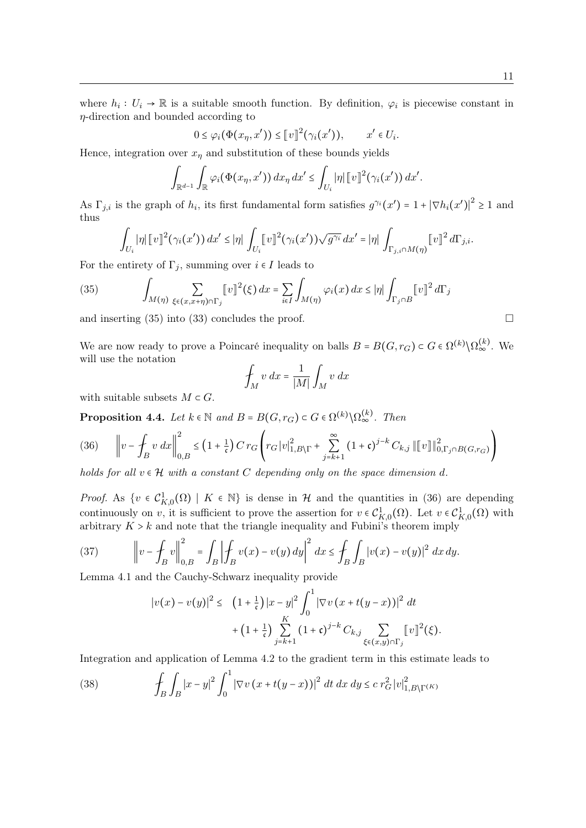where  $h_i: U_i \to \mathbb{R}$  is a suitable smooth function. By definition,  $\varphi_i$  is piecewise constant in  $\eta$ -direction and bounded according to

$$
0 \leq \varphi_i(\Phi(x_\eta, x')) \leq [v]^2(\gamma_i(x')), \qquad x' \in U_i.
$$

Hence, integration over  $x_{\eta}$  and substitution of these bounds yields

$$
\int_{\mathbb{R}^{d-1}} \int_{\mathbb{R}} \varphi_i(\Phi(x_\eta, x')) dx_\eta dx' \leq \int_{U_i} |\eta| \llbracket v \rrbracket^2(\gamma_i(x')) dx'.
$$

As  $\Gamma_{j,i}$  is the graph of  $h_i$ , its first fundamental form satisfies  $g^{\gamma_i}(x') = 1 + |\nabla h_i(x')|^2 \ge 1$  and thus

$$
\int_{U_i} |\eta| \, [v]^2 (\gamma_i(x')) dx' \leq |\eta| \int_{U_i} [v]^2 (\gamma_i(x')) \sqrt{g^{\gamma_i}} dx' = |\eta| \int_{\Gamma_{j,i} \cap M(\eta)} [v]^2 d\Gamma_{j,i}.
$$

For the entirety of  $\Gamma_i$ , summing over  $i \in I$  leads to

(35) 
$$
\int_{M(\eta)} \sum_{\xi \in (x, x + \eta) \cap \Gamma_j} [v]^2(\xi) dx = \sum_{i \in I} \int_{M(\eta)} \varphi_i(x) dx \leq |\eta| \int_{\Gamma_j \cap B} [v]^2 d\Gamma_j
$$

and inserting  $(35)$  into  $(33)$  concludes the proof.

We are now ready to prove a Poincaré inequality on balls  $B = B(G, r_G) \subset G \in \Omega^{(k)} \setminus \Omega_{\infty}^{(k)}$ . We will use the notation

$$
\int_M v \, dx = \frac{1}{|M|} \int_M v \, dx
$$

with suitable subsets  $M \subset G$ .

**Proposition 4.4.** Let  $k \in \mathbb{N}$  and  $B = B(G, r_G) \subset G \in \Omega^{(k)} \setminus \Omega_{\infty}^{(k)}$ . Then

$$
(36) \qquad \left\|v - \oint_{B} v \, dx\right\|_{0,B}^{2} \le \left(1 + \frac{1}{\mathfrak{c}}\right) C \, r_{G} \left(r_{G} \, |v|_{1,B\backslash\Gamma}^{2} + \sum_{j=k+1}^{\infty} \left(1 + \mathfrak{c}\right)^{j-k} C_{k,j} \, \left\|\left[v\right]\right\|_{0,\Gamma_{j} \cap B\left(G, r_{G}\right)}^{2}\right)
$$

holds for all  $v \in \mathcal{H}$  with a constant C depending only on the space dimension d.

*Proof.* As  $\{v \in C_{K,0}^1(\Omega) \mid K \in \mathbb{N}\}\$ is dense in H and the quantities in (36) are depending continuously on v, it is sufficient to prove the assertion for  $v \in C^1_{K,0}(\Omega)$ . Let  $v \in C^1_{K,0}(\Omega)$  with arbitrary  $K > k$  and note that the triangle inequality and Fubini's theorem imply

(37) 
$$
\left\|v - \int_B v\right\|_{0,B}^2 = \int_B \left|\int_B v(x) - v(y) \, dy\right|^2 \, dx \le \int_B \int_B |v(x) - v(y)|^2 \, dx \, dy.
$$

Lemma 4.1 and the Cauchy-Schwarz inequality provide

$$
|v(x) - v(y)|^{2} \le (1 + \frac{1}{\mathfrak{c}})|x - y|^{2} \int_{0}^{1} |\nabla v(x + t(y - x))|^{2} dt
$$
  
+  $(1 + \frac{1}{\mathfrak{c}}) \sum_{j=k+1}^{K} (1 + \mathfrak{c})^{j-k} C_{k,j} \sum_{\xi \in (x,y) \cap \Gamma_{j}} [v]^{2}(\xi).$ 

Integration and application of Lemma 4.2 to the gradient term in this estimate leads to

(38) 
$$
\int_{B} \int_{B} |x-y|^2 \int_0^1 |\nabla v (x+t(y-x))|^2 dt dx dy \leq c r_G^2 |v|_{1,B\backslash\Gamma^{(K)}}^2
$$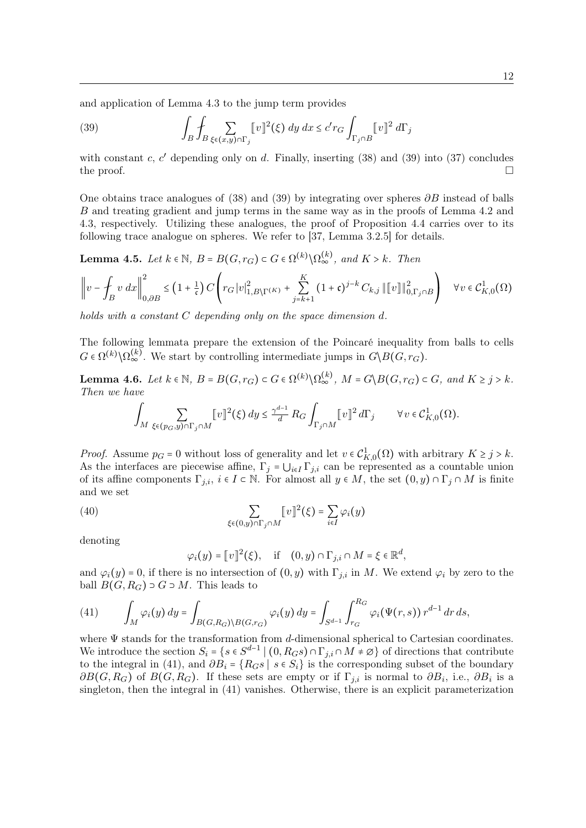and application of Lemma 4.3 to the jump term provides

(39) 
$$
\int_B \int_B \sum_{\xi \in (x,y) \cap \Gamma_j} [v]^2(\xi) dy dx \le c' r_G \int_{\Gamma_j \cap B} [v]^2 d\Gamma_j
$$

with constant c,  $c'$  depending only on d. Finally, inserting  $(38)$  and  $(39)$  into  $(37)$  concludes the proof.  $\Box$ 

One obtains trace analogues of (38) and (39) by integrating over spheres  $\partial B$  instead of balls B and treating gradient and jump terms in the same way as in the proofs of Lemma 4.2 and 4.3, respectively. Utilizing these analogues, the proof of Proposition 4.4 carries over to its following trace analogue on spheres. We refer to [37, Lemma 3.2.5] for details.

**Lemma 4.5.** Let  $k \in \mathbb{N}$ ,  $B = B(G, r_G) \subset G \in \Omega^{(k)} \setminus \Omega_{\infty}^{(k)}$ , and  $K > k$ . Then

$$
\left\|v - \oint_{B} v \, dx \right\|_{0,\partial B}^{2} \le \left(1 + \frac{1}{\mathfrak{c}}\right) C \left( r_{G} \left|v\right|_{1,B\backslash\Gamma^{(K)}}^{2} + \sum_{j=k+1}^{K} \left(1 + \mathfrak{c}\right)^{j-k} C_{k,j} \left\| \left[v\right] \right\|_{0,\Gamma_{j} \cap B}^{2} \right) \quad \forall v \in \mathcal{C}_{K,0}^{1}(\Omega)
$$

holds with a constant C depending only on the space dimension d.

The following lemmata prepare the extension of the Poincaré inequality from balls to cells  $G \in \Omega^{(k)} \backslash \Omega_{\infty}^{(k)}$ . We start by controlling intermediate jumps in  $G \backslash B(G, r_G)$ .

**Lemma 4.6.** Let  $k \in \mathbb{N}$ ,  $B = B(G, r_G) \subset G \in \Omega^{(k)} \setminus \Omega_{\infty}^{(k)}$ ,  $M = G \setminus B(G, r_G) \subset G$ , and  $K \geq j > k$ . Then we have

$$
\int_M \sum_{\xi \in (p_G, y) \cap \Gamma_j \cap M} [v]^2(\xi) dy \le \frac{\gamma^{d-1}}{d} R_G \int_{\Gamma_j \cap M} [v]^2 d\Gamma_j \qquad \forall v \in C^1_{K,0}(\Omega).
$$

*Proof.* Assume  $p_G = 0$  without loss of generality and let  $v \in C^1_{K,0}(\Omega)$  with arbitrary  $K \ge j > k$ . As the interfaces are piecewise affine,  $\Gamma_i = \bigcup_{i \in I} \Gamma_{i,i}$  can be represented as a countable union of its affine components  $\Gamma_{j,i}, i \in I \subset \mathbb{N}$ . For almost all  $y \in M$ , the set  $(0, y) \cap \Gamma_j \cap M$  is finite and we set

(40) 
$$
\sum_{\xi \in (0,y) \cap \Gamma_j \cap M} [v]^2(\xi) = \sum_{i \in I} \varphi_i(y)
$$

denoting

$$
\varphi_i(y) = [v]^2(\xi), \quad \text{if} \quad (0, y) \cap \Gamma_{j,i} \cap M = \xi \in \mathbb{R}^d,
$$

and  $\varphi_i(y) = 0$ , if there is no intersection of  $(0, y)$  with  $\Gamma_{i,i}$  in M. We extend  $\varphi_i$  by zero to the ball  $B(G, R_G) \supset G \supset M$ . This leads to

(41) 
$$
\int_M \varphi_i(y) dy = \int_{B(G,R_G)\backslash B(G,r_G)} \varphi_i(y) dy = \int_{S^{d-1}} \int_{r_G}^{R_G} \varphi_i(\Psi(r,s)) r^{d-1} dr ds,
$$

where  $\Psi$  stands for the transformation from d-dimensional spherical to Cartesian coordinates. We introduce the section  $S_i = \{s \in S^{d-1} \mid (0, R_G s) \cap \Gamma_{j,i} \cap M \neq \emptyset\}$  of directions that contribute to the integral in (41), and  $\partial B_i = \{R_G s \mid s \in S_i\}$  is the corresponding subset of the boundary  $\partial B(G, R_G)$  of  $B(G, R_G)$ . If these sets are empty or if  $\Gamma_{j,i}$  is normal to  $\partial B_i$ , i.e.,  $\partial B_i$  is a singleton, then the integral in (41) vanishes. Otherwise, there is an explicit parameterization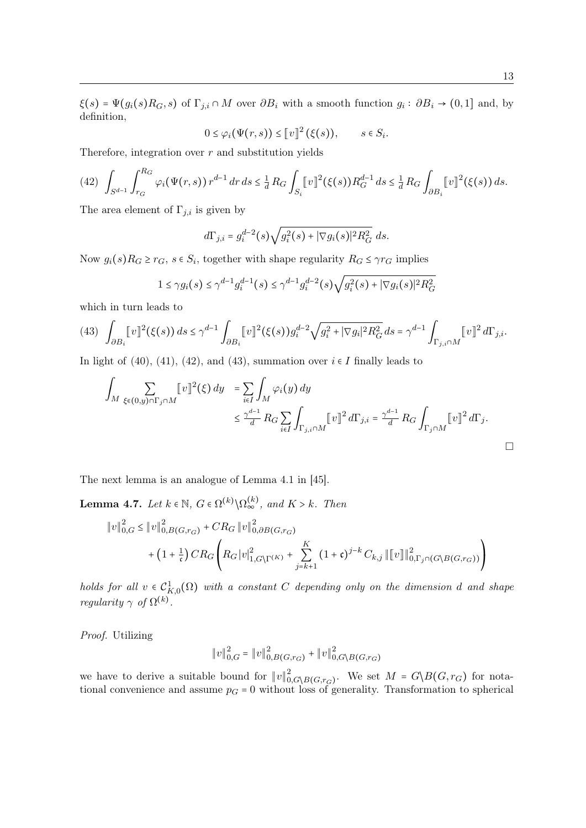$\xi(s) = \Psi(g_i(s)R_G, s)$  of  $\Gamma_{j,i} \cap M$  over  $\partial B_i$  with a smooth function  $g_i : \partial B_i \to (0,1]$  and, by definition,

$$
0 \leq \varphi_i(\Psi(r,s)) \leq [v]^2 (\xi(s)), \qquad s \in S_i.
$$

Therefore, integration over  $r$  and substitution yields

$$
(42)\ \int_{S^{d-1}}\int_{r_G}^{R_G}\varphi_i(\Psi(r,s))\,r^{d-1}\,dr\,ds\leq \frac{1}{d}\,R_G\int_{S_i}\llbracket v\rrbracket^2(\xi(s))R_G^{d-1}\,ds\leq \frac{1}{d}\,R_G\int_{\partial B_i}\llbracket v\rrbracket^2(\xi(s))\,ds.
$$

The area element of  $\Gamma_{j,i}$  is given by

$$
d\Gamma_{j,i} = g_i^{d-2}(s)\sqrt{g_i^2(s) + |\nabla g_i(s)|^2 R_G^2} \ ds.
$$

Now  $g_i(s)R_G \geq r_G$ ,  $s \in S_i$ , together with shape regularity  $R_G \leq \gamma r_G$  implies

$$
1 \leq \gamma g_i(s) \leq \gamma^{d-1} g_i^{d-1}(s) \leq \gamma^{d-1} g_i^{d-2}(s) \sqrt{g_i^2(s) + |\nabla g_i(s)|^2 R_G^2}
$$

which in turn leads to

$$
(43)\ \ \int_{\partial B_i} [v]^2(\xi(s))\,ds \leq \gamma^{d-1} \int_{\partial B_i} [v]^2(\xi(s))g_i^{d-2} \sqrt{g_i^2 + |\nabla g_i|^2 R_G^2}\,ds = \gamma^{d-1} \int_{\Gamma_{j,i}\cap M} [v]^2\,d\Gamma_{j,i}.
$$

In light of (40), (41), (42), and (43), summation over  $i \in I$  finally leads to

$$
\int_M \sum_{\xi \in (0,y) \cap \Gamma_j \cap M} [v]^2(\xi) dy = \sum_{i \in I} \int_M \varphi_i(y) dy
$$
  

$$
\leq \frac{\gamma^{d-1}}{d} R_G \sum_{i \in I} \int_{\Gamma_{j,i} \cap M} [v]^2 d\Gamma_{j,i} = \frac{\gamma^{d-1}}{d} R_G \int_{\Gamma_j \cap M} [v]^2 d\Gamma_j.
$$

The next lemma is an analogue of Lemma 4.1 in [45].

**Lemma 4.7.** Let  $k \in \mathbb{N}$ ,  $G \in \Omega^{(k)} \setminus \Omega_{\infty}^{(k)}$ , and  $K > k$ . Then

$$
\|v\|_{0,G}^2 \le \|v\|_{0,B(G,r_G)}^2 + CR_G \|v\|_{0,\partial B(G,r_G)}^2 + (1 + \frac{1}{\mathfrak{c}})CR_G \left( R_G |v|_{1,G\setminus\Gamma(K)}^2 + \sum_{j=k+1}^K (1 + \mathfrak{c})^{j-k} C_{k,j} \| [v] \|_{0,\Gamma_j \cap (G\setminus B(G,r_G))}^2 \right)
$$

holds for all  $v \in C^1_{K,0}(\Omega)$  with a constant C depending only on the dimension d and shape regularity  $\gamma$  of  $\Omega^{(k)}$ .

Proof. Utilizing

$$
||v||_{0,G}^{2} = ||v||_{0,B(G,r_G)}^{2} + ||v||_{0,G\setminus B(G,r_G)}^{2}
$$

we have to derive a suitable bound for  $||v||_0^2$  $\frac{2}{0, G\setminus B(G,r_G)}$ . We set  $M = G\setminus B(G,r_G)$  for notational convenience and assume  $p<sub>G</sub> = 0$  without loss of generality. Transformation to spherical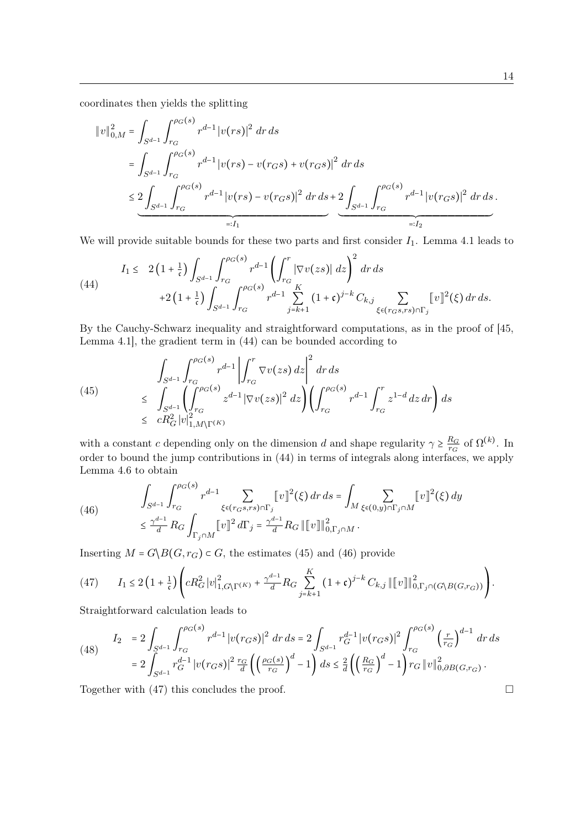coordinates then yields the splitting

$$
\|v\|_{0,M}^{2} = \int_{S^{d-1}} \int_{r_G}^{\rho_G(s)} r^{d-1} |v(rs)|^2 \, dr \, ds
$$
  
\n
$$
= \int_{S^{d-1}} \int_{r_G}^{\rho_G(s)} r^{d-1} |v(rs) - v(r_Gs) + v(r_Gs)|^2 \, dr \, ds
$$
  
\n
$$
\leq \underbrace{2 \int_{S^{d-1}} \int_{r_G}^{\rho_G(s)} r^{d-1} |v(rs) - v(r_Gs)|^2 \, dr \, ds}_{=:I_1} + \underbrace{2 \int_{S^{d-1}} \int_{r_G}^{\rho_G(s)} r^{d-1} |v(r_Gs)|^2 \, dr \, ds}_{=:I_2}.
$$

We will provide suitable bounds for these two parts and first consider  $I_1$ . Lemma 4.1 leads to

(44) 
$$
I_{1} \leq 2(1+\frac{1}{\mathfrak{c}})\int_{S^{d-1}}\int_{r_{G}}^{\rho_{G}(s)}r^{d-1}\left(\int_{r_{G}}^{r}|\nabla v(zs)| dz\right)^{2} dr ds + 2(1+\frac{1}{\mathfrak{c}})\int_{S^{d-1}}^{\rho_{G}(s)}\int_{r_{G}}^{\rho_{G}(s)}r^{d-1}\sum_{j=k+1}^{K}(1+\mathfrak{c})^{j-k} C_{k,j}\sum_{\xi \in (r_{G}s, rs) \cap \Gamma_{j}}[v]^{2}(\xi) dr ds.
$$

By the Cauchy-Schwarz inequality and straightforward computations, as in the proof of [45, Lemma 4.1], the gradient term in (44) can be bounded according to

(45) 
$$
\int_{S^{d-1}} \int_{r_G}^{\rho_G(s)} r^{d-1} \left| \int_{r_G}^r \nabla v(zs) dz \right|^2 dr ds
$$
  
\n
$$
\leq \int_{S^{d-1}} \left( \int_{r_G}^{\rho_G(s)} z^{d-1} |\nabla v(zs)|^2 dz \right) \left( \int_{r_G}^{\rho_G(s)} r^{d-1} \int_{r_G}^r z^{1-d} dz dr \right) ds
$$
  
\n
$$
\leq c R_G^2 |v|_{1, M \backslash \Gamma^{(K)}}^2
$$

with a constant c depending only on the dimension d and shape regularity  $\gamma \geq \frac{R_G}{r_G}$  $\frac{R_G}{r_G}$  of  $\Omega^{(k)}$ . In order to bound the jump contributions in (44) in terms of integrals along interfaces, we apply Lemma 4.6 to obtain

(46) 
$$
\int_{S^{d-1}} \int_{r_G}^{\rho_G(s)} r^{d-1} \sum_{\xi \in (r_G s, rs) \cap \Gamma_j} [v]^2(\xi) dr ds = \int_M \sum_{\xi \in (0,y) \cap \Gamma_j \cap M} [v]^2(\xi) dy
$$

$$
\leq \frac{\gamma^{d-1}}{d} R_G \int_{\Gamma_j \cap M} [v]^2 d\Gamma_j = \frac{\gamma^{d-1}}{d} R_G ||[v] ||_{0, \Gamma_j \cap M}^2.
$$

Inserting  $M = G\backslash B(G, r_G) \subset G$ , the estimates (45) and (46) provide

$$
(47) \qquad I_1 \leq 2\left(1+\frac{1}{\mathfrak{c}}\right)\left(cR_G^2\left|v\right|_{1,G\setminus\Gamma(K)}^2 + \frac{\gamma^{d-1}}{d}R_G\sum_{j=k+1}^K\left(1+\mathfrak{c}\right)^{j-k}C_{k,j}\left\| \left[v\right]\right\|_{0,\Gamma_j\cap\left(G\setminus B(G,r_G)\right)}^2\right).
$$

Straightforward calculation leads to

(48) 
$$
I_2 = 2 \int_{S^{d-1}} \int_{r_G}^{\rho_G(s)} r^{d-1} |v(r_G s)|^2 dr ds = 2 \int_{S^{d-1}} r_G^{d-1} |v(r_G s)|^2 \int_{r_G}^{\rho_G(s)} \left(\frac{r}{r_G}\right)^{d-1} dr ds
$$

$$
= 2 \int_{S^{d-1}} r_G^{d-1} |v(r_G s)|^2 \frac{r_G}{d} \left(\left(\frac{\rho_G(s)}{r_G}\right)^d - 1\right) ds \le \frac{2}{d} \left(\left(\frac{R_G}{r_G}\right)^d - 1\right) r_G ||v||_{0,\partial B(G,r_G)}^2.
$$

Together with  $(47)$  this concludes the proof.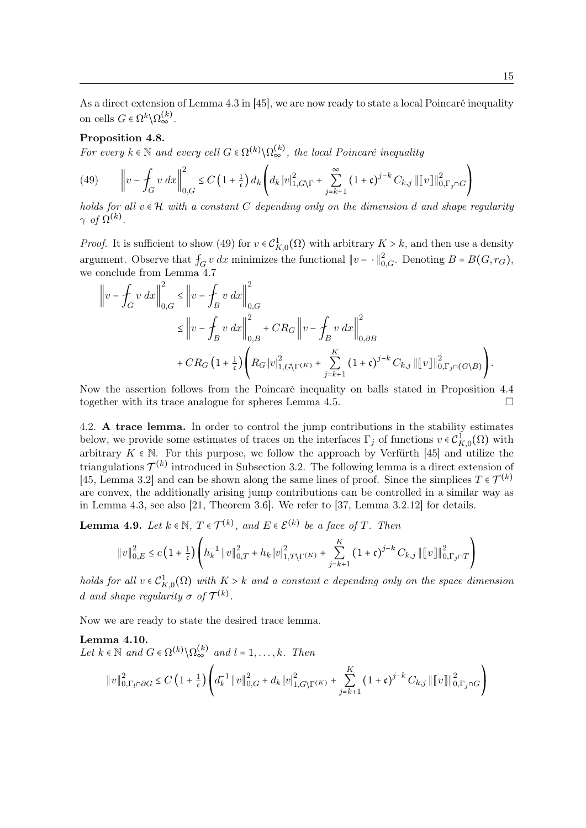As a direct extension of Lemma 4.3 in [45], we are now ready to state a local Poincaré inequality on cells  $G \in \Omega^k \backslash \Omega_{\infty}^{(k)}$ .

## Proposition 4.8.

For every  $k \in \mathbb{N}$  and every cell  $G \in \Omega^{(k)} \backslash \Omega_{\infty}^{(k)}$ , the local Poincaré inequality

(49) 
$$
\left\|v - \int_G v \, dx \right\|_{0,G}^2 \le C \left(1 + \frac{1}{\mathfrak{c}}\right) d_k \left( d_k \, |v|_{1,G\setminus\Gamma}^2 + \sum_{j=k+1}^{\infty} \left(1 + \mathfrak{c}\right)^{j-k} C_{k,j} \, \|\llbracket v \rrbracket\|_{0,\Gamma_j \cap G}^2\right)
$$

holds for all  $v \in H$  with a constant C depending only on the dimension d and shape regularity  $\gamma$  of  $\Omega^{(k)}$ .

*Proof.* It is sufficient to show (49) for  $v \in C_{K,0}^1(\Omega)$  with arbitrary  $K > k$ , and then use a density argument. Observe that  $f_G v dx$  minimizes the functional  $||v - \cdot||_{0,G}^2$ . Denoting  $B = B(G, r_G)$ , we conclude from Lemma 4.7

$$
\|v - \int_G v \, dx\|_{0,G}^2 \le \|v - \int_B v \, dx\|_{0,G}^2
$$
  

$$
\le \|v - \int_B v \, dx\|_{0,B}^2 + CR_G \|v - \int_B v \, dx\|_{0,\partial B}^2
$$
  

$$
+ CR_G \left(1 + \frac{1}{\mathfrak{c}}\right) \left( R_G |v|_{1,G\setminus\Gamma(K)}^2 + \sum_{j=k+1}^K (1+\mathfrak{c})^{j-k} C_{k,j} \|v\|_{0,\Gamma_j \cap (G\setminus B)}^2 \right).
$$

Now the assertion follows from the Poincaré inequality on balls stated in Proposition 4.4 together with its trace analogue for spheres Lemma 4.5.

4.2. A trace lemma. In order to control the jump contributions in the stability estimates below, we provide some estimates of traces on the interfaces  $\Gamma_j$  of functions  $v \in C^1_{K,0}(\Omega)$  with arbitrary  $K \in \mathbb{N}$ . For this purpose, we follow the approach by Verfürth [45] and utilize the triangulations  $\mathcal{T}^{(k)}$  introduced in Subsection 3.2. The following lemma is a direct extension of [45, Lemma 3.2] and can be shown along the same lines of proof. Since the simplices  $T \in \mathcal{T}^{(k)}$ are convex, the additionally arising jump contributions can be controlled in a similar way as in Lemma 4.3, see also [21, Theorem 3.6]. We refer to [37, Lemma 3.2.12] for details.

**Lemma 4.9.** Let  $k \in \mathbb{N}$ ,  $T \in \mathcal{T}^{(k)}$ , and  $E \in \mathcal{E}^{(k)}$  be a face of T. Then

$$
||v||_{0,E}^{2} \leq c \left(1 + \frac{1}{\mathfrak{c}}\right) \left( h_{k}^{-1} ||v||_{0,T}^{2} + h_{k} |v|_{1,T\setminus\Gamma^{(K)}}^{2} + \sum_{j=k+1}^{K} (1 + \mathfrak{c})^{j-k} C_{k,j} ||[v]||_{0,\Gamma_{j}\cap T}^{2} \right)
$$

holds for all  $v \in C^1_{K,0}(\Omega)$  with  $K > k$  and a constant c depending only on the space dimension d and shape regularity  $\sigma$  of  $\mathcal{T}^{(k)}$ .

Now we are ready to state the desired trace lemma.

## Lemma 4.10.

Let  $k \in \mathbb{N}$  and  $G \in \Omega^{(k)} \backslash \Omega_{\infty}^{(k)}$  and  $l = 1, \ldots, k$ . Then  $||v||_{0,\Gamma_l\cap\partial G}^2 \leq C\left(1+\frac{1}{\mathfrak{c}}\right)$  $\frac{1}{c}$  $\overline{I}$ ⎝  $d_k^{-1} ||v||_{0,G}^2 + d_k |v|_{1,G\setminus\Gamma(K)}^2 +$ K ∑  $j = k+1$  $(1+\mathfrak{c})^{j-k} C_{k,j} ||[v]||_{0,\Gamma_j\cap G}^2$ 

 $\overline{ }$ ⎠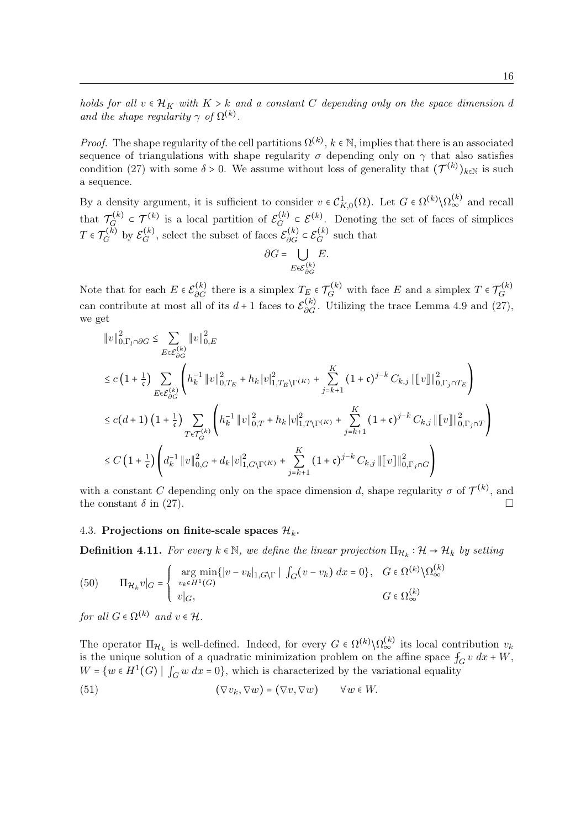*Proof.* The shape regularity of the cell partitions  $\Omega^{(k)}$ ,  $k \in \mathbb{N}$ , implies that there is an associated sequence of triangulations with shape regularity  $\sigma$  depending only on  $\gamma$  that also satisfies condition (27) with some  $\delta > 0$ . We assume without loss of generality that  $(\mathcal{T}^{(k)})_{k \in \mathbb{N}}$  is such a sequence.

By a density argument, it is sufficient to consider  $v \in C^1_{K,0}(\Omega)$ . Let  $G \in \Omega^{(k)} \backslash \Omega^{(k)}_{\infty}$  and recall that  $\mathcal{T}_G^{(k)}$  $\mathcal{F}_G^{(k)} \subset \mathcal{T}_G^{(k)}$  is a local partition of  $\mathcal{E}_G^{(k)}$  $G^{(k)} \subset \mathcal{E}^{(k)}$ . Denoting the set of faces of simplices  $T\in\mathcal{T}^{(k)}_G$  $G^{(k)}$  by  $\mathcal{E}_G^{(k)}$  $G^{(k)}_{G}$ , select the subset of faces  $\mathcal{E}_{\partial G}^{(k)} \subset \mathcal{E}_{G}^{(k)}$  $G^{(k)}$  such that

$$
\partial G = \bigcup_{E \in \mathcal{E}_{\partial G}^{(k)}} E.
$$

Note that for each  $E \in \mathcal{E}_{\partial G}^{(k)}$  there is a simplex  $T_E \in \mathcal{T}_G^{(k)}$  with face E and a simplex  $T \in \mathcal{T}_G^{(k)}$ G can contribute at most all of its  $d+1$  faces to  $\mathcal{E}_{\partial G}^{(k)}$ . Utilizing the trace Lemma 4.9 and (27), we get

$$
\label{eq:21} \begin{split} &\|v\|_{0,\Gamma_{l}\cap \partial G}^{2} \leq \sum_{E \in \mathcal{E}_{\partial G}^{(k)}}\|v\|_{0,E}^{2}\\ &\leq c\left(1+\frac{1}{\mathfrak{c}}\right) \sum_{E \in \mathcal{E}_{\partial G}^{(k)}}\left(h_{k}^{-1}\left\|v\right\|_{0,T_{E}}^{2}+h_{k}\left|v\right|_{1,T_{E}\backslash\Gamma^{(K)}}^{2}+\sum_{j=k+1}^{K}\left(1+\mathfrak{c}\right)^{j-k}C_{k,j}\left\|\left\|v\right\|_{0,\Gamma_{j}\cap T_{E}}^{2}\right) \right.\\ &\leq c\left(d+1\right)\left(1+\frac{1}{\mathfrak{c}}\right) \sum_{T \in \mathcal{T}_{G}^{(k)}}\left(h_{k}^{-1}\left\|v\right\|_{0,T}^{2}+h_{k}\left|v\right|_{1,T\backslash\Gamma^{(K)}}^{2}+\sum_{j=k+1}^{K}\left(1+\mathfrak{c}\right)^{j-k}C_{k,j}\left\|\left\|v\right\|_{0,\Gamma_{j}\cap T}^{2}\right) \right.\\ &\leq C\left(1+\frac{1}{\mathfrak{c}}\right)\left(d_{k}^{-1}\left\|v\right\|_{0,G}^{2}+d_{k}\left|v\right|_{1,G\backslash\Gamma^{(K)}}^{2}+\sum_{j=k+1}^{K}\left(1+\mathfrak{c}\right)^{j-k}C_{k,j}\left\|\left\|v\right\|_{0,\Gamma_{j}\cap G}^{2}\right) \right.\\ \end{split}
$$

with a constant C depending only on the space dimension d, shape regularity  $\sigma$  of  $\mathcal{T}^{(k)}$ , and the constant  $\delta$  in (27).

## 4.3. Projections on finite-scale spaces  $\mathcal{H}_k$ .

**Definition 4.11.** For every  $k \in \mathbb{N}$ , we define the linear projection  $\Pi_{\mathcal{H}_k} : \mathcal{H} \to \mathcal{H}_k$  by setting

(50) 
$$
\Pi_{\mathcal{H}_k} v|_G = \begin{cases} \arg \min_{v_k \in H^1(G)} \{|v - v_k|_{1, G \setminus \Gamma} \mid \int_G (v - v_k) dx = 0\}, & G \in \Omega^{(k)} \setminus \Omega^{(k)}_{\infty} \\ v|_G, & G \in \Omega^{(k)}_{\infty} \end{cases}
$$

for all  $G \in \Omega^{(k)}$  and  $v \in \mathcal{H}$ .

The operator  $\Pi_{\mathcal{H}_k}$  is well-defined. Indeed, for every  $G \in \Omega^{(k)} \setminus \Omega_{\infty}^{(k)}$  its local contribution  $v_k$ is the unique solution of a quadratic minimization problem on the affine space  $f_G v dx + W$ ,  $W = \{w \in H^1(G) \mid \int_G w \, dx = 0\}$ , which is characterized by the variational equality

(51) 
$$
(\nabla v_k, \nabla w) = (\nabla v, \nabla w) \qquad \forall w \in W.
$$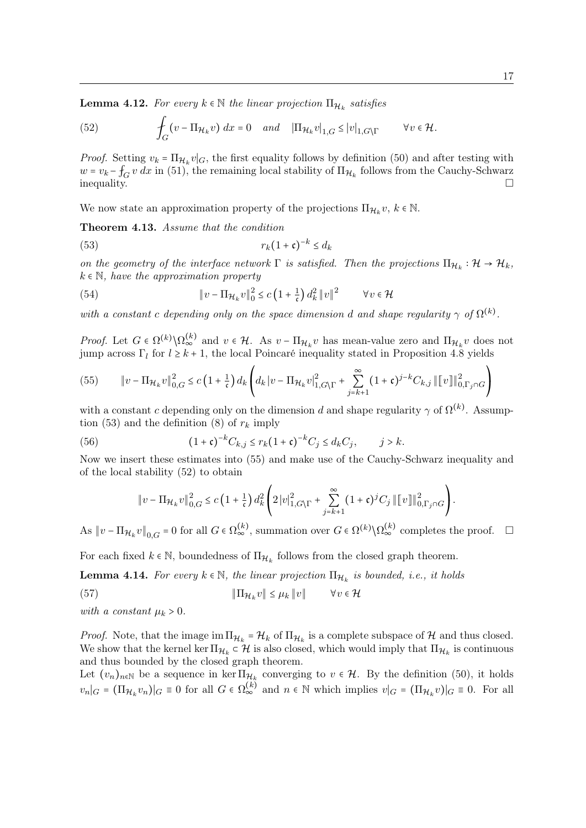**Lemma 4.12.** For every  $k \in \mathbb{N}$  the linear projection  $\Pi_{\mathcal{H}_k}$  satisfies

(52) 
$$
\int_G (v - \Pi_{\mathcal{H}_k} v) dx = 0 \text{ and } |\Pi_{\mathcal{H}_k} v|_{1,G} \le |v|_{1,G \setminus \Gamma} \qquad \forall v \in \mathcal{H}.
$$

*Proof.* Setting  $v_k = \prod_{\mathcal{H}_k} v|_G$ , the first equality follows by definition (50) and after testing with  $w = v_k - f_G v dx$  in (51), the remaining local stability of  $\Pi_{\mathcal{H}_k}$  follows from the Cauchy-Schwarz  $\Box$ inequality.

We now state an approximation property of the projections  $\Pi_{\mathcal{H}_k} v, k \in \mathbb{N}$ .

Theorem 4.13. Assume that the condition

$$
(53) \t\t\t r_k(1+\mathfrak{c})^{-k} \le d_k
$$

on the geometry of the interface network  $\Gamma$  is satisfied. Then the projections  $\Pi_{\mathcal{H}_k} : \mathcal{H} \to \mathcal{H}_k$ ,  $k \in \mathbb{N}$ , have the approximation property

(54) 
$$
\|v - \Pi_{\mathcal{H}_k} v\|_0^2 \le c \left(1 + \frac{1}{\mathfrak{c}}\right) d_k^2 \|v\|^2 \qquad \forall v \in \mathcal{H}
$$

with a constant c depending only on the space dimension d and shape regularity  $\gamma$  of  $\Omega^{(k)}$ .

*Proof.* Let  $G \in \Omega^{(k)} \setminus \Omega_{\infty}^{(k)}$  and  $v \in \mathcal{H}$ . As  $v - \Pi_{\mathcal{H}_k} v$  has mean-value zero and  $\Pi_{\mathcal{H}_k} v$  does not jump across  $\Gamma_l$  for  $l \geq k+1$ , the local Poincaré inequality stated in Proposition 4.8 yields

(55) 
$$
\|v - \Pi_{\mathcal{H}_k} v\|_{0,G}^2 \le c \left(1 + \frac{1}{\mathfrak{c}}\right) d_k \left( d_k \left|v - \Pi_{\mathcal{H}_k} v\right|_{1,G}^2 \left| \Gamma + \sum_{j=k+1}^{\infty} (1 + \mathfrak{c})^{j-k} C_{k,j} \right| \|v\|_{0,\Gamma_j \cap G}^2 \right)
$$

with a constant c depending only on the dimension d and shape regularity  $\gamma$  of  $\Omega^{(k)}$ . Assumption (53) and the definition (8) of  $r_k$  imply

(56) 
$$
(1 + c)^{-k} C_{k,j} \leq r_k (1 + c)^{-k} C_j \leq d_k C_j, \qquad j > k.
$$

Now we insert these estimates into (55) and make use of the Cauchy-Schwarz inequality and of the local stability (52) to obtain

$$
\|v - \Pi_{\mathcal{H}_k} v\|_{0,G}^2 \le c \left(1 + \frac{1}{\mathfrak{c}}\right) d_k^2 \left(2|v|_{1,G\setminus\Gamma}^2 + \sum_{j=k+1}^{\infty} (1+\mathfrak{c})^j C_j \left\| [v] \right\|_{0,\Gamma_j \cap G}^2 \right).
$$

As  $||v - \Pi_{\mathcal{H}_k} v||_{0,G} = 0$  for all  $G \in \Omega_{\infty}^{(k)}$ , summation over  $G \in \Omega^{(k)} \setminus \Omega_{\infty}^{(k)}$  completes the proof.  $\Box$ 

For each fixed  $k \in \mathbb{N}$ , boundedness of  $\Pi_{\mathcal{H}_k}$  follows from the closed graph theorem.

**Lemma 4.14.** For every  $k \in \mathbb{N}$ , the linear projection  $\Pi_{\mathcal{H}_k}$  is bounded, i.e., it holds

(57) 
$$
\|\Pi_{\mathcal{H}_k} v\| \le \mu_k \|v\| \qquad \forall v \in \mathcal{H}
$$

with a constant  $\mu_k > 0$ .

*Proof.* Note, that the image  $\lim_{k \to \infty} \prod_{k} H_k$  of  $\Pi_{\mathcal{H}_k}$  is a complete subspace of  $\mathcal{H}$  and thus closed. We show that the kernel ker  $\Pi_{\mathcal{H}_k} \subset \mathcal{H}$  is also closed, which would imply that  $\Pi_{\mathcal{H}_k}$  is continuous and thus bounded by the closed graph theorem.

Let  $(v_n)_{n\in\mathbb{N}}$  be a sequence in ker  $\Pi_{\mathcal{H}_k}$  converging to  $v \in \mathcal{H}$ . By the definition (50), it holds  $v_n|_G = (\Pi_{\mathcal{H}_k} v_n)|_G \equiv 0$  for all  $G \in \Omega_{\infty}^{(k)}$  and  $n \in \mathbb{N}$  which implies  $v|_G = (\Pi_{\mathcal{H}_k} v)|_G \equiv 0$ . For all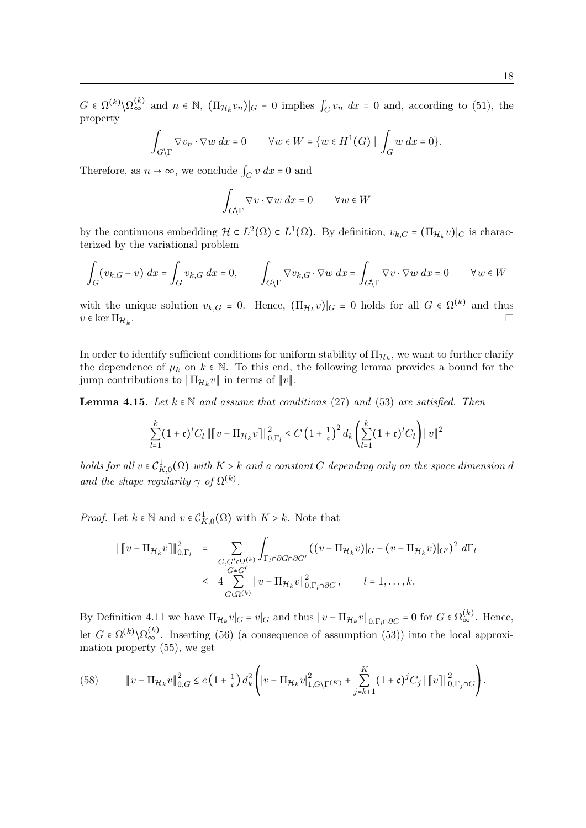$G \in \Omega^{(k)} \setminus \Omega_{\infty}^{(k)}$  and  $n \in \mathbb{N}$ ,  $(\Pi_{\mathcal{H}_k} v_n)|_G \equiv 0$  implies  $\int_G v_n dx = 0$  and, according to (51), the property

$$
\int_{G\backslash\Gamma} \nabla v_n \cdot \nabla w \, dx = 0 \qquad \forall w \in W = \{w \in H^1(G) \mid \int_G w \, dx = 0\}.
$$

Therefore, as  $n \to \infty$ , we conclude  $\int_G v \, dx = 0$  and

$$
\int_{G \setminus \Gamma} \nabla v \cdot \nabla w \, dx = 0 \qquad \forall w \in W
$$

by the continuous embedding  $\mathcal{H} \subset L^2(\Omega) \subset L^1(\Omega)$ . By definition,  $v_{k,G} = (\Pi_{\mathcal{H}_k} v)|_G$  is characterized by the variational problem

$$
\int_{G} (v_{k,G} - v) \, dx = \int_{G} v_{k,G} \, dx = 0, \qquad \int_{G \backslash \Gamma} \nabla v_{k,G} \cdot \nabla w \, dx = \int_{G \backslash \Gamma} \nabla v \cdot \nabla w \, dx = 0 \qquad \forall w \in W
$$

with the unique solution  $v_{k,G} \equiv 0$ . Hence,  $(\Pi_{\mathcal{H}_k} v)|_G \equiv 0$  holds for all  $G \in \Omega^{(k)}$  and thus  $v \in \ker \Pi_{\mathcal{H}_k}$ . .

In order to identify sufficient conditions for uniform stability of  $\Pi_{\mathcal{H}_k}$ , we want to further clarify the dependence of  $\mu_k$  on  $k \in \mathbb{N}$ . To this end, the following lemma provides a bound for the jump contributions to  $\|\Pi_{\mathcal{H}_k} v\|$  in terms of  $||v||$ .

**Lemma 4.15.** Let  $k \in \mathbb{N}$  and assume that conditions (27) and (53) are satisfied. Then

$$
\sum_{l=1}^{k} (1+\mathfrak{c})^{l} C_{l} \left\| [v - \Pi_{\mathcal{H}_{k}} v] \right\|_{0,\Gamma_{l}}^{2} \leq C \left( 1 + \frac{1}{\mathfrak{c}} \right)^{2} d_{k} \left( \sum_{l=1}^{k} (1+\mathfrak{c})^{l} C_{l} \right) \|v\|^{2}
$$

holds for all  $v \in C^1_{K,0}(\Omega)$  with  $K > k$  and a constant C depending only on the space dimension d and the shape regularity  $\gamma$  of  $\Omega^{(k)}$ .

*Proof.* Let  $k \in \mathbb{N}$  and  $v \in C^1_{K,0}(\Omega)$  with  $K > k$ . Note that

$$
\begin{aligned}\n\|\left[v - \Pi_{\mathcal{H}_k} v\right]\|_{0,\Gamma_l}^2 &= \sum_{\substack{G, G' \in \Omega^{(k)} \\ G \neq G'}} \int_{\Gamma_l \cap \partial G \cap \partial G'} \left((v - \Pi_{\mathcal{H}_k} v)|_G - (v - \Pi_{\mathcal{H}_k} v)|_{G'}\right)^2 d\Gamma_l \\
&\leq 4 \sum_{G \in \Omega^{(k)}} \left\|v - \Pi_{\mathcal{H}_k} v\right\|_{0,\Gamma_l \cap \partial G}^2, \qquad l = 1, \dots, k.\n\end{aligned}
$$

By Definition 4.11 we have  $\Pi_{\mathcal{H}_k} v|_G = v|_G$  and thus  $||v - \Pi_{\mathcal{H}_k} v||_{0, \Gamma_l \cap \partial G} = 0$  for  $G \in \Omega_{\infty}^{(k)}$ . Hence, let  $G \in \Omega^{(k)} \backslash \Omega_{\infty}^{(k)}$ . Inserting (56) (a consequence of assumption (53)) into the local approximation property (55), we get

(58) 
$$
\|v - \Pi_{\mathcal{H}_k} v\|_{0,G}^2 \le c \left(1 + \frac{1}{\mathfrak{c}}\right) d_k^2 \left( |v - \Pi_{\mathcal{H}_k} v|_{1,G\backslash\Gamma^{(K)}}^2 + \sum_{j=k+1}^K (1+\mathfrak{c})^j C_j \left\| [v] \right\|_{0,\Gamma_j \cap G}^2 \right).
$$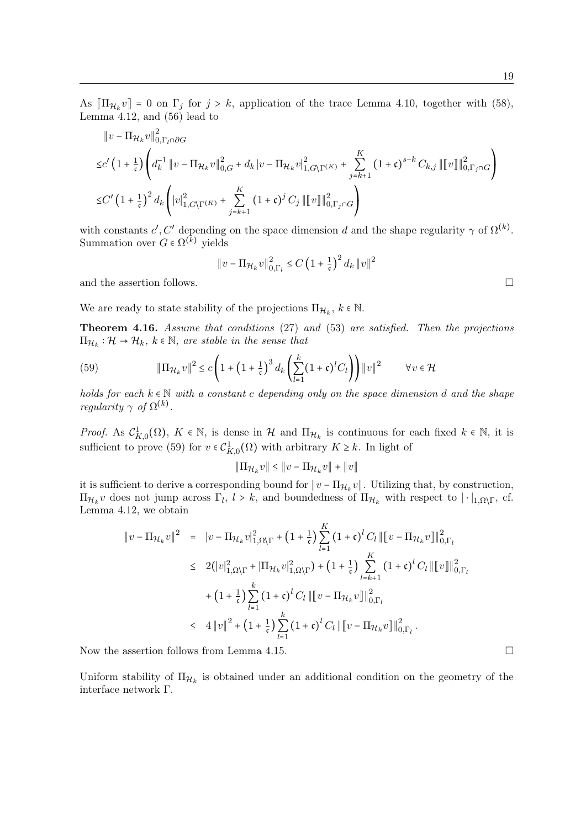As  $[\Pi_{\mathcal{H}_k} v] = 0$  on  $\Gamma_j$  for  $j > k$ , application of the trace Lemma 4.10, together with (58), Lemma 4.12, and (56) lead to

$$
\|v - \Pi_{\mathcal{H}_k} v\|_{0, \Gamma_l \cap \partial G}^2
$$
  
\n
$$
\leq c' \left(1 + \frac{1}{\mathfrak{c}}\right) \left(d_k^{-1} \|v - \Pi_{\mathcal{H}_k} v\|_{0, G}^2 + d_k |v - \Pi_{\mathcal{H}_k} v|_{1, G\setminus\Gamma^{(K)}}^2 + \sum_{j=k+1}^K (1 + \mathfrak{c})^{s-k} C_{k, j} \| [v] \|_{0, \Gamma_j \cap G}^2\right)
$$
  
\n
$$
\leq C' \left(1 + \frac{1}{\mathfrak{c}}\right)^2 d_k \left( |v|_{1, G\setminus\Gamma^{(K)}}^2 + \sum_{j=k+1}^K (1 + \mathfrak{c})^j C_j \| [v] \|_{0, \Gamma_j \cap G}^2\right)
$$

with constants  $c', C'$  depending on the space dimension d and the shape regularity  $\gamma$  of  $\Omega^{(k)}$ . Summation over  $G \in \Omega^{(k)}$  yields

$$
\|v - \Pi_{\mathcal{H}_k} v\|_{0,\Gamma_l}^2 \le C \left(1 + \frac{1}{\mathfrak{c}}\right)^2 d_k \|v\|^2
$$

and the assertion follows.  $\hfill \square$ 

We are ready to state stability of the projections  $\Pi_{\mathcal{H}_k}$ ,  $k \in \mathbb{N}$ .

Theorem 4.16. Assume that conditions (27) and (53) are satisfied. Then the projections  $\Pi_{\mathcal{H}_k} : \mathcal{H} \to \mathcal{H}_k$ ,  $k \in \mathbb{N}$ , are stable in the sense that

(59) 
$$
\|\Pi_{\mathcal{H}_k} v\|^2 \leq c \left(1 + \left(1 + \frac{1}{\mathfrak{c}}\right)^3 d_k \left(\sum_{l=1}^k (1 + \mathfrak{c})^l C_l\right)\right) \|v\|^2 \qquad \forall v \in \mathcal{H}
$$

holds for each  $k \in \mathbb{N}$  with a constant c depending only on the space dimension d and the shape regularity  $\gamma$  of  $\Omega^{(k)}$ .

*Proof.* As  $C_{K,0}^1(\Omega)$ ,  $K \in \mathbb{N}$ , is dense in H and  $\Pi_{H_k}$  is continuous for each fixed  $k \in \mathbb{N}$ , it is sufficient to prove (59) for  $v \in C^1_{K,0}(\Omega)$  with arbitrary  $K \geq k$ . In light of

$$
\|\Pi_{\mathcal{H}_k} v\| \le \|v - \Pi_{\mathcal{H}_k} v\| + \|v\|
$$

it is sufficient to derive a corresponding bound for  $||v - \Pi_{\mathcal{H}_k} v||$ . Utilizing that, by construction,  $\Pi_{\mathcal{H}_k}$  v does not jump across  $\Gamma_l$ ,  $l > k$ , and boundedness of  $\Pi_{\mathcal{H}_k}$  with respect to  $|\cdot|_{1,\Omega\setminus\Gamma}$ , cf. Lemma 4.12, we obtain

$$
\|v - \Pi_{\mathcal{H}_k} v\|^2 = \|v - \Pi_{\mathcal{H}_k} v\|_{1,\Omega\setminus\Gamma}^2 + \left(1 + \frac{1}{\mathfrak{c}}\right) \sum_{l=1}^K \left(1 + \mathfrak{c}\right)^l C_l \|\|v - \Pi_{\mathcal{H}_k} v\|\|_{0,\Gamma_l}^2
$$
  
\n
$$
\leq 2(|v|_{1,\Omega\setminus\Gamma}^2 + |\Pi_{\mathcal{H}_k} v|_{1,\Omega\setminus\Gamma}^2) + \left(1 + \frac{1}{\mathfrak{c}}\right) \sum_{l=k+1}^K \left(1 + \mathfrak{c}\right)^l C_l \|\|v\|\|_{0,\Gamma_l}^2
$$
  
\n
$$
+ \left(1 + \frac{1}{\mathfrak{c}}\right) \sum_{l=1}^k \left(1 + \mathfrak{c}\right)^l C_l \|\|v - \Pi_{\mathcal{H}_k} v\|\|_{0,\Gamma_l}^2
$$
  
\n
$$
\leq 4 \|v\|^2 + \left(1 + \frac{1}{\mathfrak{c}}\right) \sum_{l=1}^k \left(1 + \mathfrak{c}\right)^l C_l \|\|v - \Pi_{\mathcal{H}_k} v\|\|_{0,\Gamma_l}^2.
$$

Now the assertion follows from Lemma 4.15.

Uniform stability of  $\Pi_{\mathcal{H}_k}$  is obtained under an additional condition on the geometry of the interface network Γ.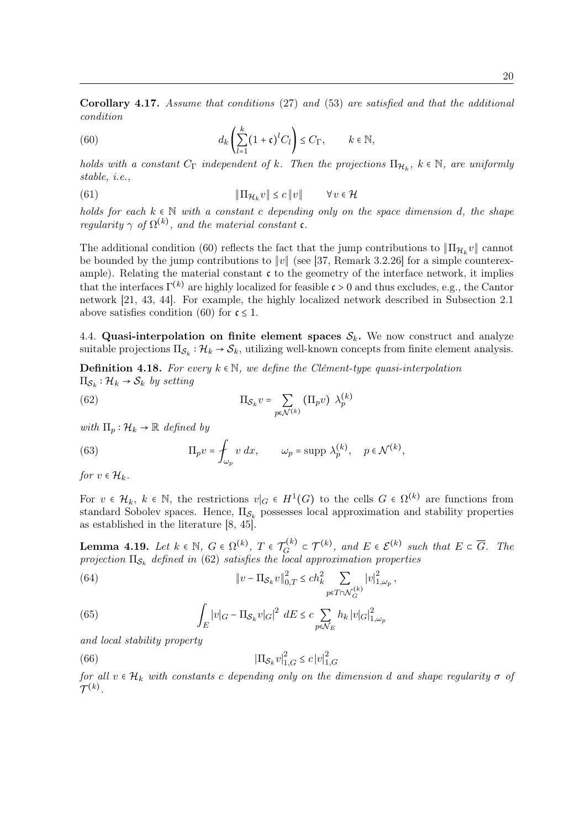Corollary 4.17. Assume that conditions (27) and (53) are satisfied and that the additional condition

(60) 
$$
d_k \left( \sum_{l=1}^k (1 + \mathfrak{c})^l C_l \right) \leq C_{\Gamma}, \qquad k \in \mathbb{N},
$$

holds with a constant  $C_{\Gamma}$  independent of k. Then the projections  $\Pi_{\mathcal{H}_k}$ ,  $k \in \mathbb{N}$ , are uniformly stable, i.e.,

(61) 
$$
\|\Pi_{\mathcal{H}_k} v\| \le c \|v\| \qquad \forall v \in \mathcal{H}
$$

holds for each  $k \in \mathbb{N}$  with a constant c depending only on the space dimension d, the shape regularity  $\gamma$  of  $\Omega^{(k)}$ , and the material constant **c**.

The additional condition (60) reflects the fact that the jump contributions to  $\|\Pi_{\mathcal{H}_k} v\|$  cannot be bounded by the jump contributions to ∥v∥ (see [37, Remark 3.2.26] for a simple counterexample). Relating the material constant  $\mathfrak c$  to the geometry of the interface network, it implies that the interfaces  $\Gamma^{(k)}$  are highly localized for feasible  $\mathfrak{c} > 0$  and thus excludes, e.g., the Cantor network [21, 43, 44]. For example, the highly localized network described in Subsection 2.1 above satisfies condition (60) for  $\mathfrak{c} \leq 1$ .

4.4. Quasi-interpolation on finite element spaces  $S_k$ . We now construct and analyze suitable projections  $\Pi_{\mathcal{S}_k} : \mathcal{H}_k \to \mathcal{S}_k$ , utilizing well-known concepts from finite element analysis.

**Definition 4.18.** For every  $k \in \mathbb{N}$ , we define the Clément-type quasi-interpolation  $\Pi_{\mathcal{S}_k} : \mathcal{H}_k \to \mathcal{S}_k$  by setting

(62) 
$$
\Pi_{\mathcal{S}_k} v = \sum_{p \in \mathcal{N}^{(k)}} (\Pi_p v) \lambda_p^{(k)}
$$

with  $\Pi_p : \mathcal{H}_k \to \mathbb{R}$  defined by

(63) 
$$
\Pi_p v = \oint_{\omega_p} v \, dx, \qquad \omega_p = \text{supp } \lambda_p^{(k)}, \quad p \in \mathcal{N}^{(k)},
$$

for  $v \in \mathcal{H}_k$ .

For  $v \in \mathcal{H}_k$ ,  $k \in \mathbb{N}$ , the restrictions  $v|_G \in H^1(G)$  to the cells  $G \in \Omega^{(k)}$  are functions from standard Sobolev spaces. Hence,  $\Pi_{\mathcal{S}_k}$  possesses local approximation and stability properties as established in the literature [8, 45].

**Lemma 4.19.** Let  $k \in \mathbb{N}$ ,  $G \in \Omega^{(k)}$ ,  $T \in \mathcal{T}_G^{(k)}$  $\mathcal{T}_G^{(k)} \subset \mathcal{T}^{(k)}$ , and  $E \in \mathcal{E}^{(k)}$  such that  $E \subset \overline{G}$ . The projection  $\Pi_{\mathcal{S}_k}$  defined in (62) satisfies the local approximation properties

(64) 
$$
\|v - \Pi_{\mathcal{S}_k} v\|_{0,T}^2 \le ch_k^2 \sum_{p \in T \cap \mathcal{N}_G^{(k)}} |v|_{1,\omega_p}^2,
$$

(65) 
$$
\int_{E} |v|_G - \Pi_{\mathcal{S}_k} v|_G|^2 dE \leq c \sum_{p \in \mathcal{N}_E} h_k |v|_G|^2_{1,\omega_p}
$$

and local stability property

(66) 
$$
|\Pi_{\mathcal{S}_k} v|_{1,G}^2 \le c |v|_{1,G}^2
$$

for all  $v \in \mathcal{H}_k$  with constants c depending only on the dimension d and shape regularity  $\sigma$  of  $\mathcal{T}^{(k)}$  .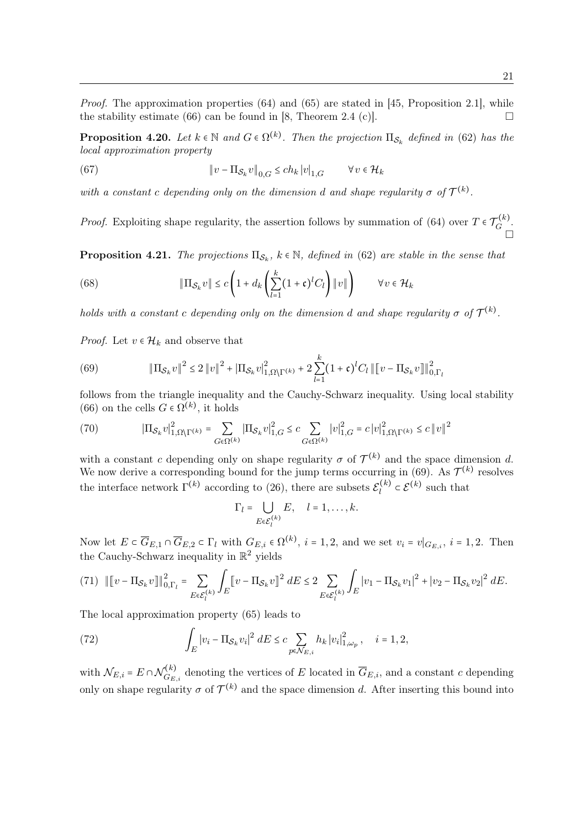Proof. The approximation properties (64) and (65) are stated in [45, Proposition 2.1], while the stability estimate (66) can be found in [8, Theorem 2.4 (c)].

**Proposition 4.20.** Let  $k \in \mathbb{N}$  and  $G \in \Omega^{(k)}$ . Then the projection  $\Pi_{\mathcal{S}_k}$  defined in (62) has the local approximation property

(67) 
$$
\|v - \Pi_{\mathcal{S}_k} v\|_{0,G} \le ch_k |v|_{1,G} \qquad \forall v \in \mathcal{H}_k
$$

with a constant c depending only on the dimension d and shape regularity  $\sigma$  of  $\mathcal{T}^{(k)}$ .

*Proof.* Exploiting shape regularity, the assertion follows by summation of (64) over  $T \in \mathcal{T}_G^{(k)}$  $\tilde{G}^{(\kappa)}$ .  $\Box$ 

**Proposition 4.21.** The projections  $\Pi_{\mathcal{S}_k}$ ,  $k \in \mathbb{N}$ , defined in (62) are stable in the sense that

(68) 
$$
\|\Pi_{\mathcal{S}_k} v\| \le c \left(1 + d_k \left(\sum_{l=1}^k (1 + \mathfrak{c})^l C_l\right) \|v\|\right) \qquad \forall v \in \mathcal{H}_k
$$

holds with a constant c depending only on the dimension d and shape regularity  $\sigma$  of  $\mathcal{T}^{(k)}$ .

*Proof.* Let  $v \in \mathcal{H}_k$  and observe that

(69) 
$$
\|\Pi_{\mathcal{S}_k} v\|^2 \le 2 \|v\|^2 + |\Pi_{\mathcal{S}_k} v|_{1,\Omega\setminus\Gamma^{(k)}}^2 + 2 \sum_{l=1}^k (1+\mathfrak{c})^l C_l \| \|v - \Pi_{\mathcal{S}_k} v\|_{0,\Gamma_l}^2
$$

follows from the triangle inequality and the Cauchy-Schwarz inequality. Using local stability (66) on the cells  $G \in \Omega^{(k)}$ , it holds

(70) 
$$
\left|\Pi_{\mathcal{S}_k}v\right|_{1,\Omega\setminus\Gamma^{(k)}}^2 = \sum_{G\in\Omega^{(k)}}\left|\Pi_{\mathcal{S}_k}v\right|_{1,G}^2 \leq c\sum_{G\in\Omega^{(k)}}\left|v\right|_{1,G}^2 = c\left|v\right|_{1,\Omega\setminus\Gamma^{(k)}}^2 \leq c\left\|v\right\|^2
$$

with a constant c depending only on shape regularity  $\sigma$  of  $\mathcal{T}^{(k)}$  and the space dimension d. We now derive a corresponding bound for the jump terms occurring in (69). As  $\mathcal{T}^{(k)}$  resolves the interface network  $\Gamma^{(k)}$  according to (26), there are subsets  $\mathcal{E}_l^{(k)}$  $\mathcal{E}^{(k)} \subset \mathcal{E}^{(k)}$  such that

$$
\Gamma_l = \bigcup_{E \in \mathcal{E}_l^{(k)}} E, \quad l = 1, \dots, k.
$$

Now let  $E \subset \overline{G}_{E,1} \cap \overline{G}_{E,2} \subset \Gamma_l$  with  $G_{E,i} \in \Omega^{(k)}$ ,  $i = 1, 2$ , and we set  $v_i = v|_{G_{E,i}}, i = 1, 2$ . Then the Cauchy-Schwarz inequality in  $\mathbb{R}^2$  yields

$$
(71) \quad ||\![v - \Pi_{\mathcal{S}_k} v]\!]||_{0,\Gamma_l}^2 = \sum_{E \in \mathcal{E}_l^{(k)}} \int_E [v - \Pi_{\mathcal{S}_k} v]^2 \, dE \le 2 \sum_{E \in \mathcal{E}_l^{(k)}} \int_E |v_1 - \Pi_{\mathcal{S}_k} v_1|^2 + |v_2 - \Pi_{\mathcal{S}_k} v_2|^2 \, dE.
$$

The local approximation property (65) leads to

(72) 
$$
\int_{E} |v_i - \Pi_{\mathcal{S}_k} v_i|^2 dE \leq c \sum_{p \in \mathcal{N}_{E,i}} h_k |v_i|^2_{1,\omega_p}, \quad i = 1, 2,
$$

with  $\mathcal{N}_{E,i} = E \cap \mathcal{N}_{G_E}^{(k)}$  $G_{E,i}^{(\kappa)}$  denoting the vertices of E located in  $G_{E,i}$ , and a constant c depending only on shape regularity  $\sigma$  of  $\mathcal{T}^{(k)}$  and the space dimension d. After inserting this bound into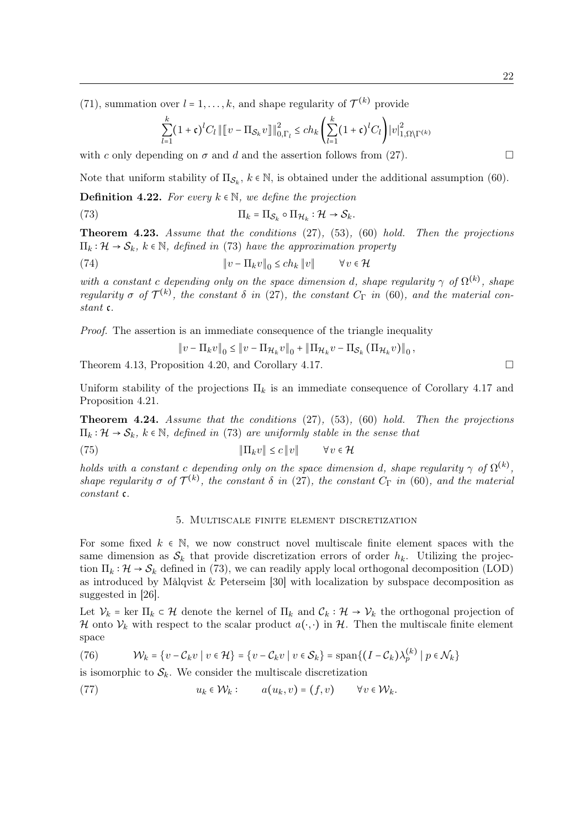(71), summation over  $l = 1, ..., k$ , and shape regularity of  $\mathcal{T}^{(k)}$  provide

$$
\sum_{l=1}^{k} (1+\mathfrak{c})^{l} C_{l} \left\| [v - \Pi_{\mathcal{S}_{k}} v] \right\|_{0, \Gamma_{l}}^{2} \leq ch_{k} \left( \sum_{l=1}^{k} (1+\mathfrak{c})^{l} C_{l} \right) |v|_{1, \Omega \setminus \Gamma^{(k)}}^{2}
$$

with c only depending on  $\sigma$  and d and the assertion follows from (27).

Note that uniform stability of  $\Pi_{\mathcal{S}_k}$ ,  $k \in \mathbb{N}$ , is obtained under the additional assumption (60).

**Definition 4.22.** For every  $k \in \mathbb{N}$ , we define the projection

(73) 
$$
\Pi_k = \Pi_{\mathcal{S}_k} \circ \Pi_{\mathcal{H}_k} : \mathcal{H} \to \mathcal{S}_k.
$$

**Theorem 4.23.** Assume that the conditions  $(27)$ ,  $(53)$ ,  $(60)$  hold. Then the projections  $\Pi_k : \mathcal{H} \to \mathcal{S}_k$ ,  $k \in \mathbb{N}$ , defined in (73) have the approximation property

(74) 
$$
\|v - \Pi_k v\|_0 \le ch_k \|v\| \qquad \forall v \in \mathcal{H}
$$

with a constant c depending only on the space dimension d, shape regularity  $\gamma$  of  $\Omega^{(k)}$ , shape regularity  $\sigma$  of  $\mathcal{T}^{(k)}$ , the constant  $\delta$  in (27), the constant  $C_{\Gamma}$  in (60), and the material constant c.

Proof. The assertion is an immediate consequence of the triangle inequality

$$
\|v - \Pi_k v\|_0 \le \|v - \Pi_{\mathcal{H}_k} v\|_0 + \|\Pi_{\mathcal{H}_k} v - \Pi_{\mathcal{S}_k} (\Pi_{\mathcal{H}_k} v)\|_0
$$

Theorem 4.13, Proposition 4.20, and Corollary 4.17.  $\Box$ 

Uniform stability of the projections  $\Pi_k$  is an immediate consequence of Corollary 4.17 and Proposition 4.21.

Theorem 4.24. Assume that the conditions (27), (53), (60) hold. Then the projections  $\Pi_k : \mathcal{H} \to \mathcal{S}_k$ ,  $k \in \mathbb{N}$ , defined in (73) are uniformly stable in the sense that

(75) 
$$
\|\Pi_k v\| \le c \|v\| \qquad \forall v \in \mathcal{H}
$$

holds with a constant c depending only on the space dimension d, shape regularity  $\gamma$  of  $\Omega^{(k)}$ , shape regularity  $\sigma$  of  $\mathcal{T}^{(k)}$ , the constant  $\delta$  in (27), the constant  $C_{\Gamma}$  in (60), and the material constant c.

#### 5. Multiscale finite element discretization

For some fixed  $k \in \mathbb{N}$ , we now construct novel multiscale finite element spaces with the same dimension as  $S_k$  that provide discretization errors of order  $h_k$ . Utilizing the projection  $\Pi_k : \mathcal{H} \to \mathcal{S}_k$  defined in (73), we can readily apply local orthogonal decomposition (LOD) as introduced by Målqvist & Peterseim [30] with localization by subspace decomposition as suggested in [26].

Let  $\mathcal{V}_k$  = ker  $\Pi_k \subset \mathcal{H}$  denote the kernel of  $\Pi_k$  and  $\mathcal{C}_k : \mathcal{H} \to \mathcal{V}_k$  the orthogonal projection of H onto  $\mathcal{V}_k$  with respect to the scalar product  $a(\cdot, \cdot)$  in H. Then the multiscale finite element space

(76) 
$$
\mathcal{W}_k = \{v - \mathcal{C}_k v \mid v \in \mathcal{H}\} = \{v - \mathcal{C}_k v \mid v \in \mathcal{S}_k\} = \text{span}\{(I - \mathcal{C}_k)\lambda_p^{(k)} \mid p \in \mathcal{N}_k\}
$$

is isomorphic to  $S_k$ . We consider the multiscale discretization

(77) 
$$
u_k \in \mathcal{W}_k: \qquad a(u_k, v) = (f, v) \qquad \forall v \in \mathcal{W}_k.
$$

,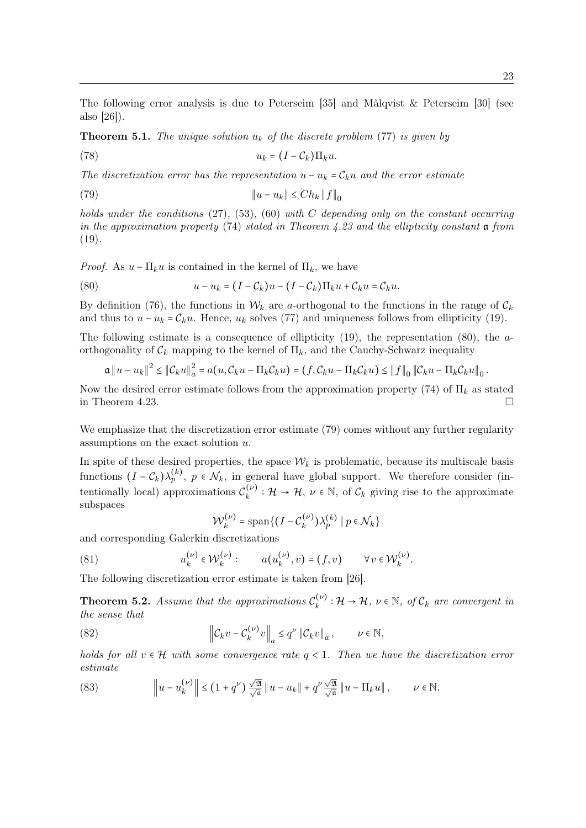The following error analysis is due to Peterseim [35] and Målqvist & Peterseim [30] (see also [26]).

**Theorem 5.1.** The unique solution  $u_k$  of the discrete problem (77) is given by

$$
(78) \t\t u_k = (I - \mathcal{C}_k) \Pi_k u.
$$

The discretization error has the representation  $u - u_k = C_k u$  and the error estimate

$$
\|u - u_k\| \le Ch_k \|f\|_0
$$

holds under the conditions  $(27)$ ,  $(53)$ ,  $(60)$  with C depending only on the constant occurring in the approximation property  $(74)$  stated in Theorem 4.23 and the ellipticity constant a from  $(19)$ .

*Proof.* As  $u - \Pi_k u$  is contained in the kernel of  $\Pi_k$ , we have

(80) 
$$
u - u_k = (I - C_k)u - (I - C_k)\Pi_k u + C_k u = C_k u.
$$

By definition (76), the functions in  $W_k$  are a-orthogonal to the functions in the range of  $\mathcal{C}_k$ and thus to  $u - u_k = C_k u$ . Hence,  $u_k$  solves (77) and uniqueness follows from ellipticity (19).

The following estimate is a consequence of ellipticity  $(19)$ , the representation  $(80)$ , the aorthogonality of  $\mathcal{C}_k$  mapping to the kernel of  $\Pi_k$ , and the Cauchy-Schwarz inequality

$$
\mathfrak{a} \|u - u_k\|^2 \leq \|C_k u\|^2 = a(u, C_k u - \Pi_k C_k u) = (f, C_k u - \Pi_k C_k u) \leq \|f\|_0 \|C_k u - \Pi_k C_k u\|_0.
$$

Now the desired error estimate follows from the approximation property (74) of  $\Pi_k$  as stated in Theorem 4.23.

We emphasize that the discretization error estimate (79) comes without any further regularity assumptions on the exact solution u.

In spite of these desired properties, the space  $W_k$  is problematic, because its multiscale basis functions  $(I - C_k)\lambda_p^{(k)}$ ,  $p \in \mathcal{N}_k$ , in general have global support. We therefore consider (intentionally local) approximations  $\mathcal{C}_k^{(\nu)}$  $\mathcal{L}_{k}^{(\nu)}: \mathcal{H} \to \mathcal{H}, \nu \in \mathbb{N}, \text{ of } \mathcal{C}_{k}$  giving rise to the approximate subspaces

$$
\mathcal{W}_k^{(\nu)} = \text{span}\{ (I - \mathcal{C}_k^{(\nu)}) \lambda_p^{(k)} \mid p \in \mathcal{N}_k \}
$$

and corresponding Galerkin discretizations

(81) 
$$
u_k^{(\nu)} \in \mathcal{W}_k^{(\nu)}: \qquad a(u_k^{(\nu)}, v) = (f, v) \qquad \forall v \in \mathcal{W}_k^{(\nu)}.
$$

The following discretization error estimate is taken from [26].

**Theorem 5.2.** Assume that the approximations  $\mathcal{C}_k^{(\nu)}$  $k_k^{(\nu)}: \mathcal{H} \to \mathcal{H}, \nu \in \mathbb{N}, \text{ of } \mathcal{C}_k \text{ are convergent in}$ the sense that

(82) 
$$
\left\| \mathcal{C}_k v - \mathcal{C}_k^{(\nu)} v \right\|_a \leq q^{\nu} \left\| \mathcal{C}_k v \right\|_a, \qquad \nu \in \mathbb{N},
$$

holds for all  $v \in H$  with some convergence rate  $q < 1$ . Then we have the discretization error estimate

(83) 
$$
\left\|u-u_k^{(\nu)}\right\| \leq (1+q^{\nu})\frac{\sqrt{\mathfrak{A}}}{\sqrt{\mathfrak{a}}} \|u-u_k\| + q^{\nu}\frac{\sqrt{\mathfrak{A}}}{\sqrt{\mathfrak{a}}} \|u-\Pi_k u\|, \qquad \nu \in \mathbb{N}.
$$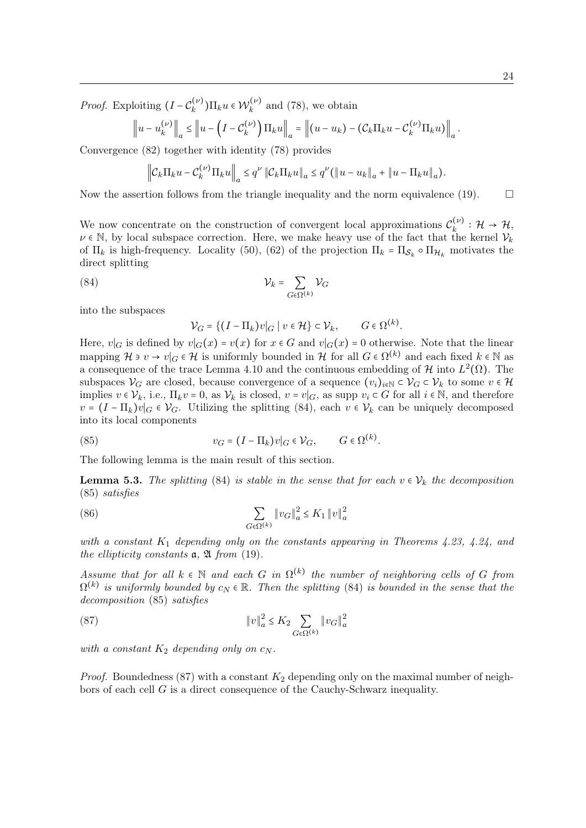*Proof.* Exploiting  $(I - C_k^{(\nu)})$  $(\mathcal{W}_k^{(\nu)})\prod_k u \in \mathcal{W}_k^{(\nu)}$  $\binom{n(\nu)}{k}$  and (78), we obtain

$$
\left\|u-u_k^{(\nu)}\right\|_a \leq \left\|u-\left(I-\mathcal{C}_k^{(\nu)}\right)\Pi_k u\right\|_a = \left\|(u-u_k)-\left(\mathcal{C}_k\Pi_k u-\mathcal{C}_k^{(\nu)}\Pi_k u\right)\right\|_a.
$$

Convergence (82) together with identity (78) provides

$$
\left\|C_k\Pi_k u - C_k^{(\nu)}\Pi_k u\right\|_a \leq q^{\nu} \left\|C_k\Pi_k u\right\|_a \leq q^{\nu} \left(\left\|u - u_k\right\|_a + \left\|u - \Pi_k u\right\|_a\right).
$$

Now the assertion follows from the triangle inequality and the norm equivalence (19).  $\Box$ 

We now concentrate on the construction of convergent local approximations  $\mathcal{C}_k^{(\nu)}$  $\mathcal{H}_k^{(\nu)}:\mathcal{H}\rightarrow\mathcal{H},$  $\nu \in \mathbb{N}$ , by local subspace correction. Here, we make heavy use of the fact that the kernel  $\mathcal{V}_k$ of  $\Pi_k$  is high-frequency. Locality (50), (62) of the projection  $\Pi_k = \Pi_{\mathcal{S}_k} \circ \Pi_{\mathcal{H}_k}$  motivates the direct splitting

$$
V_k = \sum_{G \in \Omega^{(k)}} \mathcal{V}_G
$$

into the subspaces

 $\mathcal{V}_G = \{ (I - \Pi_k) v | G \mid v \in \mathcal{H} \} \subset \mathcal{V}_k, \qquad G \in \Omega^{(k)}.$ 

Here,  $v|_G$  is defined by  $v|_G(x) = v(x)$  for  $x \in G$  and  $v|_G(x) = 0$  otherwise. Note that the linear mapping  $\mathcal{H} \ni v \to v|_G \in \mathcal{H}$  is uniformly bounded in  $\mathcal{H}$  for all  $G \in \Omega^{(k)}$  and each fixed  $k \in \mathbb{N}$  as a consequence of the trace Lemma 4.10 and the continuous embedding of  $\mathcal H$  into  $L^2(\Omega)$ . The subspaces  $\mathcal{V}_G$  are closed, because convergence of a sequence  $(v_i)_{i\in\mathbb{N}}\subset \mathcal{V}_G\subset \mathcal{V}_k$  to some  $v\in\mathcal{H}$ implies  $v \in V_k$ , i.e.,  $\Pi_k v = 0$ , as  $V_k$  is closed,  $v = v|_G$ , as supp  $v_i \subset G$  for all  $i \in \mathbb{N}$ , and therefore  $v = (I - \Pi_k)v|_G \in V_G$ . Utilizing the splitting (84), each  $v \in V_k$  can be uniquely decomposed into its local components

(85) 
$$
v_G = (I - \Pi_k)v|_G \in \mathcal{V}_G, \qquad G \in \Omega^{(k)}.
$$

The following lemma is the main result of this section.

**Lemma 5.3.** The splitting (84) is stable in the sense that for each  $v \in V_k$  the decomposition (85) satisfies

(86) 
$$
\sum_{G \in \Omega^{(k)}} \|v_G\|_a^2 \le K_1 \|v\|_a^2
$$

with a constant  $K_1$  depending only on the constants appearing in Theorems 4.23, 4.24, and the ellipticity constants  $a, \mathfrak{A}$  from (19).

Assume that for all  $k \in \mathbb{N}$  and each G in  $\Omega^{(k)}$  the number of neighboring cells of G from  $\Omega^{(k)}$  is uniformly bounded by  $c_N \in \mathbb{R}$ . Then the splitting (84) is bounded in the sense that the decomposition (85) satisfies

(87) 
$$
||v||_a^2 \le K_2 \sum_{G \in \Omega^{(k)}} ||v_G||_a^2
$$

with a constant  $K_2$  depending only on  $c_N$ .

*Proof.* Boundedness (87) with a constant  $K_2$  depending only on the maximal number of neighbors of each cell G is a direct consequence of the Cauchy-Schwarz inequality.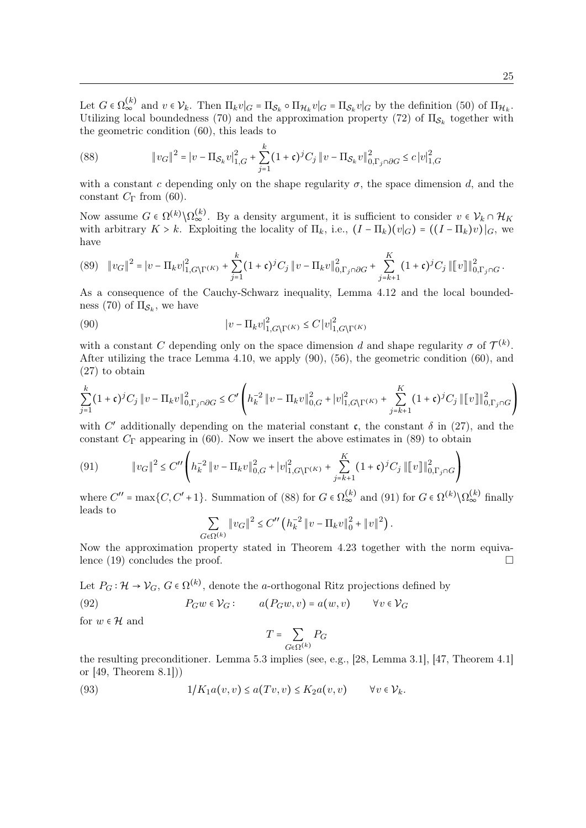Let  $G \in \Omega_{\infty}^{(k)}$  and  $v \in V_k$ . Then  $\Pi_k v|_G = \Pi_{\mathcal{S}_k} \circ \Pi_{\mathcal{H}_k} v|_G = \Pi_{\mathcal{S}_k} v|_G$  by the definition (50) of  $\Pi_{\mathcal{H}_k}$ . Utilizing local boundedness (70) and the approximation property (72) of  $\Pi_{\mathcal{S}_k}$  together with the geometric condition (60), this leads to

(88) 
$$
\|v_G\|^2 = |v - \Pi_{\mathcal{S}_k} v|_{1,G}^2 + \sum_{j=1}^k (1+\mathfrak{c})^j C_j \|v - \Pi_{\mathcal{S}_k} v\|_{0,\Gamma_j \cap \partial G}^2 \le c |v|_{1,G}^2
$$

with a constant c depending only on the shape regularity  $\sigma$ , the space dimension d, and the constant  $C_{\Gamma}$  from (60).

Now assume  $G \in \Omega^{(k)} \backslash \Omega_{\infty}^{(k)}$ . By a density argument, it is sufficient to consider  $v \in \mathcal{V}_k \cap \mathcal{H}_K$ with arbitrary  $K > k$ . Exploiting the locality of  $\Pi_k$ , i.e.,  $(I - \Pi_k)(v|_G) = ((I - \Pi_k)v)|_G$ , we have

$$
(89)\quad \|v_G\|^2 = |v - \Pi_k v|_{1, G\setminus\Gamma^{(K)}}^2 + \sum_{j=1}^k (1+\mathfrak{c})^j C_j \|v - \Pi_k v\|_{0, \Gamma_j \cap \partial G}^2 + \sum_{j=k+1}^K (1+\mathfrak{c})^j C_j \|v\|_{0, \Gamma_j \cap G}^2.
$$

As a consequence of the Cauchy-Schwarz inequality, Lemma 4.12 and the local boundedness (70) of  $\Pi_{\mathcal{S}_k}$ , we have

(90) 
$$
\left|v - \Pi_k v\right|_{1, G\backslash \Gamma^{(K)}}^2 \le C \left|v\right|_{1, G\backslash \Gamma^{(K)}}^2
$$

with a constant C depending only on the space dimension d and shape regularity  $\sigma$  of  $\mathcal{T}^{(k)}$ . After utilizing the trace Lemma 4.10, we apply (90), (56), the geometric condition (60), and (27) to obtain

$$
\sum_{j=1}^{k} (1+\mathfrak{c})^{j} C_{j} \|v - \Pi_{k}v\|_{0,\Gamma_{j}\cap\partial G}^{2} \leq C' \left( h_{k}^{-2} \|v - \Pi_{k}v\|_{0,G}^{2} + |v|_{1,G\setminus\Gamma^{(K)}}^{2} + \sum_{j=k+1}^{K} (1+\mathfrak{c})^{j} C_{j} \|[v]\|_{0,\Gamma_{j}\cap G}^{2} \right)
$$

with C' additionally depending on the material constant c, the constant  $\delta$  in (27), and the constant  $C_{\Gamma}$  appearing in (60). Now we insert the above estimates in (89) to obtain

(91) 
$$
\|v_G\|^2 \leq C'' \left( h_k^{-2} \|v - \Pi_k v\|_{0,G}^2 + |v|_{1,G\setminus\Gamma(K)}^2 + \sum_{j=k+1}^K (1+\mathfrak{c})^j C_j \| \|v\|_{0,\Gamma_j \cap G}^2 \right)
$$

where  $C'' = \max\{C, C' + 1\}$ . Summation of (88) for  $G \in \Omega_{\infty}^{(k)}$  and (91) for  $G \in \Omega^{(k)} \setminus \Omega_{\infty}^{(k)}$  finally leads to

$$
\sum_{G\in\Omega^{(k)}}\left\Vert v_{G}\right\Vert ^{2}\leq C''\left(h_{k}^{-2}\left\Vert v-\Pi_{k}v\right\Vert _{0}^{2}+\left\Vert v\right\Vert ^{2}\right).
$$

Now the approximation property stated in Theorem 4.23 together with the norm equivalence (19) concludes the proof.  $\Box$ 

Let  $P_G: \mathcal{H} \to \mathcal{V}_G$ ,  $G \in \Omega^{(k)}$ , denote the *a*-orthogonal Ritz projections defined by

(92) 
$$
P_G w \in V_G: \qquad a(P_G w, v) = a(w, v) \qquad \forall v \in V_G
$$

for  $w \in \mathcal{H}$  and

$$
T = \sum_{G \in \Omega^{(k)}} P_G
$$

the resulting preconditioner. Lemma 5.3 implies (see, e.g., [28, Lemma 3.1], [47, Theorem 4.1] or [49, Theorem 8.1]))

(93) 
$$
1/K_1a(v,v) \le a(Tv,v) \le K_2a(v,v) \qquad \forall v \in \mathcal{V}_k.
$$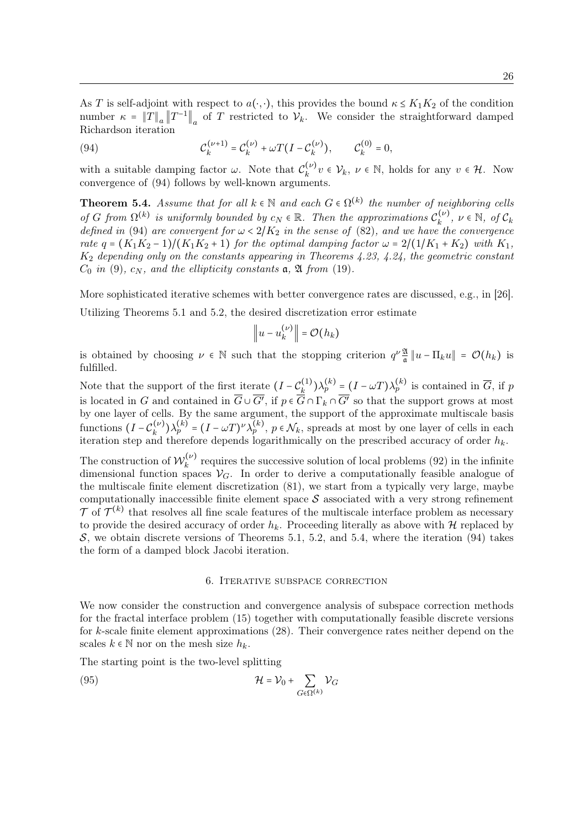As T is self-adjoint with respect to  $a(\cdot, \cdot)$ , this provides the bound  $\kappa \leq K_1 K_2$  of the condition number  $\kappa = \|T\|_a \|T^{-1}\|_a$  of T restricted to  $\mathcal{V}_k$ . We consider the straightforward damped Richardson iteration

(94) 
$$
\mathcal{C}_{k}^{(\nu+1)} = \mathcal{C}_{k}^{(\nu)} + \omega T (I - \mathcal{C}_{k}^{(\nu)}), \qquad \mathcal{C}_{k}^{(0)} = 0,
$$

with a suitable damping factor  $\omega$ . Note that  $\mathcal{C}_k^{(\nu)}$  $\mathcal{L}_{k}^{(\nu)}v \in \mathcal{V}_{k}, v \in \mathbb{N}$ , holds for any  $v \in \mathcal{H}$ . Now convergence of (94) follows by well-known arguments.

**Theorem 5.4.** Assume that for all  $k \in \mathbb{N}$  and each  $G \in \Omega^{(k)}$  the number of neighboring cells of G from  $\Omega^{(k)}$  is uniformly bounded by  $c_N \in \mathbb{R}$ . Then the approximations  $\mathcal{C}_k^{(\nu)}$  $v_k^{(\nu)}$ ,  $\nu \in \mathbb{N}$ , of  $\mathcal{C}_k$ defined in (94) are convergent for  $\omega < 2/K_2$  in the sense of (82), and we have the convergence rate  $q = (K_1K_2 - 1)/(K_1K_2 + 1)$  for the optimal damping factor  $\omega = 2/(1/K_1 + K_2)$  with  $K_1$ ,  $K_2$  depending only on the constants appearing in Theorems 4.23, 4.24, the geometric constant  $C_0$  in (9),  $c_N$ , and the ellipticity constants  $a, \mathfrak{A}$  from (19).

More sophisticated iterative schemes with better convergence rates are discussed, e.g., in [26]. Utilizing Theorems 5.1 and 5.2, the desired discretization error estimate

$$
\left\|u-u_k^{(\nu)}\right\|=\mathcal{O}(h_k)
$$

is obtained by choosing  $\nu \in \mathbb{N}$  such that the stopping criterion  $q^{\nu} \frac{\mathfrak{A}}{a}$  $\frac{d}{d} ||u - \Pi_k u|| = \mathcal{O}(h_k)$  is fulfilled.

Note that the support of the first iterate  $(I - C_k^{(1)})$  $(k_k^{(1)})\lambda_p^{(k)} = (I - \omega T)\lambda_p^{(k)}$  is contained in  $\overline{G}$ , if p is located in G and contained in  $G \cup G'$ , if  $p \in G \cap \Gamma_k \cap G'$  so that the support grows at most by one layer of cells. By the same argument, the support of the approximate multiscale basis functions  $(I - C_k^{(\nu)})$  $(k_k^{(\nu)})\lambda_p^{(k)} = (I - \omega T)^{\nu}\lambda_p^{(k)}, p \in \mathcal{N}_k$ , spreads at most by one layer of cells in each iteration step and therefore depends logarithmically on the prescribed accuracy of order  $h_k$ .

The construction of  $\mathcal{W}_k^{(\nu)}$  $k^{(\nu)}$  requires the successive solution of local problems (92) in the infinite dimensional function spaces  $\mathcal{V}_G$ . In order to derive a computationally feasible analogue of the multiscale finite element discretization (81), we start from a typically very large, maybe computationally inaccessible finite element space  $S$  associated with a very strong refinement  $\mathcal T$  of  $\mathcal T^{(k)}$  that resolves all fine scale features of the multiscale interface problem as necessary to provide the desired accuracy of order  $h_k$ . Proceeding literally as above with  $H$  replaced by S, we obtain discrete versions of Theorems 5.1, 5.2, and 5.4, where the iteration  $(94)$  takes the form of a damped block Jacobi iteration.

## 6. Iterative subspace correction

We now consider the construction and convergence analysis of subspace correction methods for the fractal interface problem (15) together with computationally feasible discrete versions for k-scale finite element approximations (28). Their convergence rates neither depend on the scales  $k \in \mathbb{N}$  nor on the mesh size  $h_k$ .

The starting point is the two-level splitting

(95) 
$$
\mathcal{H} = \mathcal{V}_0 + \sum_{G \in \Omega^{(k)}} \mathcal{V}_G
$$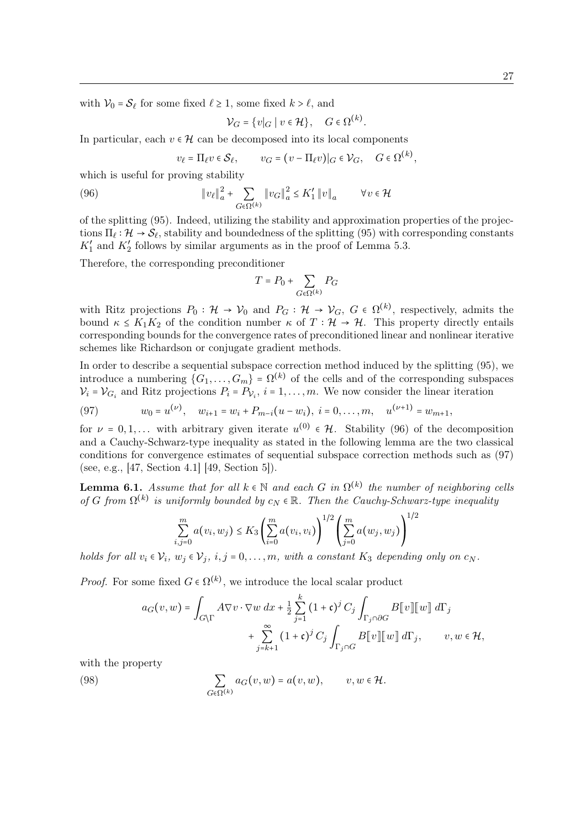with  $V_0 = S_\ell$  for some fixed  $\ell \ge 1$ , some fixed  $k > \ell$ , and

$$
\mathcal{V}_G = \{v|_G \mid v \in \mathcal{H}\}, \quad G \in \Omega^{(k)}.
$$

In particular, each  $v \in \mathcal{H}$  can be decomposed into its local components

$$
v_{\ell} = \Pi_{\ell} v \in S_{\ell}, \qquad v_G = (v - \Pi_{\ell} v)|_G \in V_G, \quad G \in \Omega^{(k)}
$$

which is useful for proving stability

(96) 
$$
\|v_{\ell}\|_{a}^{2} + \sum_{G \in \Omega^{(k)}} \|v_{G}\|_{a}^{2} \leq K_{1}' \|v\|_{a} \qquad \forall v \in \mathcal{H}
$$

of the splitting (95). Indeed, utilizing the stability and approximation properties of the projections  $\Pi_\ell : \mathcal{H} \to \mathcal{S}_\ell$ , stability and boundedness of the splitting (95) with corresponding constants  $K'_1$  and  $K'_2$  follows by similar arguments as in the proof of Lemma 5.3.

Therefore, the corresponding preconditioner

$$
T=P_0+\sum_{G\in \Omega^{(k)}}P_G
$$

with Ritz projections  $P_0: \mathcal{H} \to \mathcal{V}_0$  and  $P_G: \mathcal{H} \to \mathcal{V}_G$ ,  $G \in \Omega^{(k)}$ , respectively, admits the bound  $\kappa \leq K_1K_2$  of the condition number  $\kappa$  of  $T : \mathcal{H} \to \mathcal{H}$ . This property directly entails corresponding bounds for the convergence rates of preconditioned linear and nonlinear iterative schemes like Richardson or conjugate gradient methods.

In order to describe a sequential subspace correction method induced by the splitting (95), we introduce a numbering  $\{G_1, \ldots, G_m\} = \Omega^{(k)}$  of the cells and of the corresponding subspaces  $V_i = V_{G_i}$  and Ritz projections  $P_i = P_{V_i}$ ,  $i = 1, ..., m$ . We now consider the linear iteration

(97) 
$$
w_0 = u^{(\nu)}, \quad w_{i+1} = w_i + P_{m-i}(u - w_i), \quad i = 0, \ldots, m, \quad u^{(\nu+1)} = w_{m+1},
$$

for  $\nu = 0, 1, ...$  with arbitrary given iterate  $u^{(0)} \in \mathcal{H}$ . Stability (96) of the decomposition and a Cauchy-Schwarz-type inequality as stated in the following lemma are the two classical conditions for convergence estimates of sequential subspace correction methods such as (97) (see, e.g., [47, Section 4.1] [49, Section 5]).

**Lemma 6.1.** Assume that for all  $k \in \mathbb{N}$  and each G in  $\Omega^{(k)}$  the number of neighboring cells of G from  $\Omega^{(k)}$  is uniformly bounded by  $c_N \in \mathbb{R}$ . Then the Cauchy-Schwarz-type inequality

$$
\sum_{i,j=0}^{m} a(v_i, w_j) \le K_3 \left( \sum_{i=0}^{m} a(v_i, v_i) \right)^{1/2} \left( \sum_{j=0}^{m} a(w_j, w_j) \right)^{1/2}
$$

holds for all  $v_i \in V_i$ ,  $w_j \in V_j$ ,  $i, j = 0, ..., m$ , with a constant  $K_3$  depending only on  $c_N$ .

*Proof.* For some fixed  $G \in \Omega^{(k)}$ , we introduce the local scalar product

$$
a_G(v, w) = \int_{G \backslash \Gamma} A \nabla v \cdot \nabla w \, dx + \frac{1}{2} \sum_{j=1}^k (1 + \mathfrak{c})^j C_j \int_{\Gamma_j \cap \partial G} B[v] [w] d\Gamma_j
$$
  
+ 
$$
\sum_{j=k+1}^{\infty} (1 + \mathfrak{c})^j C_j \int_{\Gamma_j \cap G} B[v] [w] d\Gamma_j, \qquad v, w \in \mathcal{H},
$$

with the property

(98) 
$$
\sum_{G \in \Omega^{(k)}} a_G(v, w) = a(v, w), \qquad v, w \in \mathcal{H}.
$$

,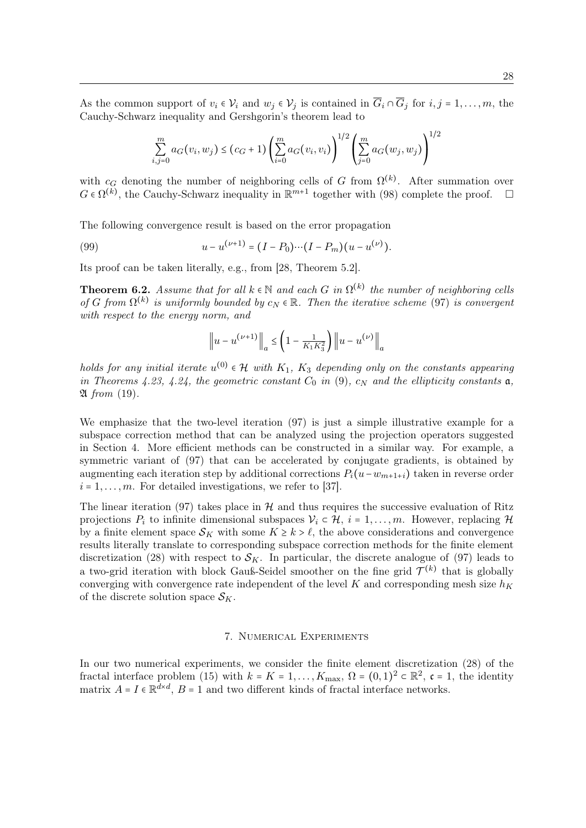As the common support of  $v_i \in V_i$  and  $w_j \in V_j$  is contained in  $\overline{G}_i \cap \overline{G}_j$  for  $i, j = 1, \ldots, m$ , the Cauchy-Schwarz inequality and Gershgorin's theorem lead to

$$
\sum_{i,j=0}^{m} a_G(v_i, w_j) \le (c_G + 1) \left(\sum_{i=0}^{m} a_G(v_i, v_i)\right)^{1/2} \left(\sum_{j=0}^{m} a_G(w_j, w_j)\right)^{1/2}
$$

with  $c_G$  denoting the number of neighboring cells of G from  $\Omega^{(k)}$ . After summation over  $G \in \Omega^{(k)}$ , the Cauchy-Schwarz inequality in  $\mathbb{R}^{m+1}$  together with (98) complete the proof.  $\Box$ 

The following convergence result is based on the error propagation

(99) 
$$
u - u^{(\nu+1)} = (I - P_0) \cdots (I - P_m) (u - u^{(\nu)}).
$$

Its proof can be taken literally, e.g., from [28, Theorem 5.2].

**Theorem 6.2.** Assume that for all  $k \in \mathbb{N}$  and each G in  $\Omega^{(k)}$  the number of neighboring cells of G from  $\Omega^{(k)}$  is uniformly bounded by  $c_N \in \mathbb{R}$ . Then the iterative scheme (97) is convergent with respect to the energy norm, and

$$
\|u - u^{(\nu+1)}\|_{a} \le \left(1 - \frac{1}{K_1 K_3^2}\right) \|u - u^{(\nu)}\|_{a}
$$

holds for any initial iterate  $u^{(0)} \in \mathcal{H}$  with  $K_1$ ,  $K_3$  depending only on the constants appearing in Theorems 4.23, 4.24, the geometric constant  $C_0$  in (9),  $c_N$  and the ellipticity constants  $\mathfrak{a}$ ,  $\mathfrak A$  from (19).

We emphasize that the two-level iteration (97) is just a simple illustrative example for a subspace correction method that can be analyzed using the projection operators suggested in Section 4. More efficient methods can be constructed in a similar way. For example, a symmetric variant of (97) that can be accelerated by conjugate gradients, is obtained by augmenting each iteration step by additional corrections  $P_i(u-w_{m+1+i})$  taken in reverse order  $i = 1, \ldots, m$ . For detailed investigations, we refer to [37].

The linear iteration (97) takes place in  $\mathcal H$  and thus requires the successive evaluation of Ritz projections  $P_i$  to infinite dimensional subspaces  $V_i \subset \mathcal{H}$ ,  $i = 1, \ldots, m$ . However, replacing  $\mathcal{H}$ by a finite element space  $S_K$  with some  $K \geq k > \ell$ , the above considerations and convergence results literally translate to corresponding subspace correction methods for the finite element discretization (28) with respect to  $S_K$ . In particular, the discrete analogue of (97) leads to a two-grid iteration with block Gauß-Seidel smoother on the fine grid  $\mathcal{T}^{(k)}$  that is globally converging with convergence rate independent of the level K and corresponding mesh size  $h_K$ of the discrete solution space  $\mathcal{S}_K$ .

#### 7. Numerical Experiments

In our two numerical experiments, we consider the finite element discretization (28) of the fractal interface problem (15) with  $k = K = 1, ..., K_{\text{max}}$ ,  $\Omega = (0, 1)^2 \subset \mathbb{R}^2$ ,  $\mathfrak{c} = 1$ , the identity matrix  $A = I \in \mathbb{R}^{d \times d}$ ,  $B = 1$  and two different kinds of fractal interface networks.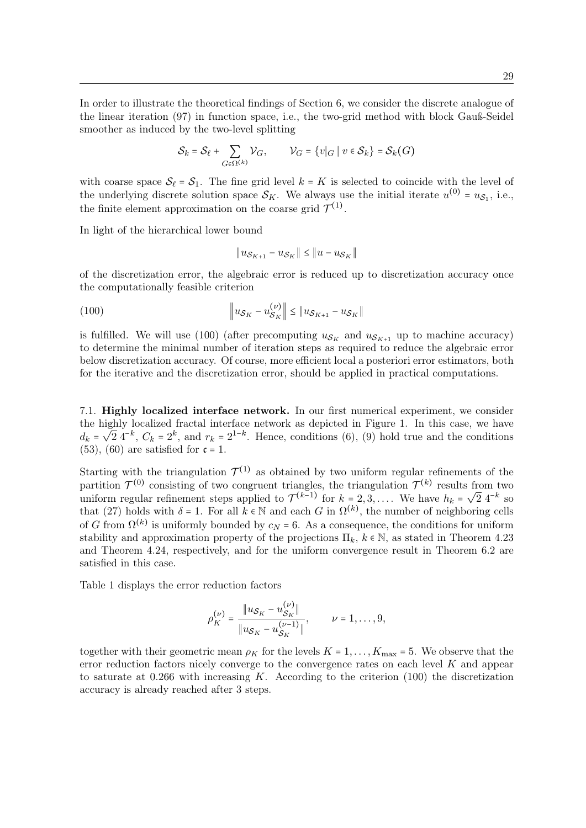In order to illustrate the theoretical findings of Section 6, we consider the discrete analogue of the linear iteration (97) in function space, i.e., the two-grid method with block Gauß-Seidel smoother as induced by the two-level splitting

$$
\mathcal{S}_k = \mathcal{S}_{\ell} + \sum_{G \in \Omega^{(k)}} \mathcal{V}_G, \qquad \mathcal{V}_G = \{v|_G \mid v \in \mathcal{S}_k\} = \mathcal{S}_k(G)
$$

with coarse space  $S_\ell = S_1$ . The fine grid level  $k = K$  is selected to coincide with the level of the underlying discrete solution space  $\mathcal{S}_K$ . We always use the initial iterate  $u^{(0)} = u_{\mathcal{S}_1}$ , i.e., the finite element approximation on the coarse grid  $\mathcal{T}^{(1)}$ .

In light of the hierarchical lower bound

$$
||u_{\mathcal{S}_{K+1}} - u_{\mathcal{S}_{K}}|| \le ||u - u_{\mathcal{S}_{K}}||
$$

of the discretization error, the algebraic error is reduced up to discretization accuracy once the computationally feasible criterion

(100) 
$$
\|u_{\mathcal{S}_K} - u_{\mathcal{S}_K}^{(\nu)}\| \leq \|u_{\mathcal{S}_{K+1}} - u_{\mathcal{S}_K}\|
$$

is fulfilled. We will use (100) (after precomputing  $u_{\mathcal{S}_K}$  and  $u_{\mathcal{S}_{K+1}}$  up to machine accuracy) to determine the minimal number of iteration steps as required to reduce the algebraic error below discretization accuracy. Of course, more efficient local a posteriori error estimators, both for the iterative and the discretization error, should be applied in practical computations.

7.1. Highly localized interface network. In our first numerical experiment, we consider the highly localized fractal interface network as depicted in Figure 1. In this case, we have the ingity localized fractal interface hetwork as depicted in Figure 1. In this case, we have  $d_k = \sqrt{2} 4^{-k}$ ,  $C_k = 2^k$ , and  $r_k = 2^{1-k}$ . Hence, conditions (6), (9) hold true and the conditions  $(53)$ ,  $(60)$  are satisfied for  $c = 1$ .

Starting with the triangulation  $\mathcal{T}^{(1)}$  as obtained by two uniform regular refinements of the partition  $\mathcal{T}^{(0)}$  consisting of two congruent triangles, the triangulation  $\mathcal{T}^{(k)}$  results from two partition  $f^{(k-1)}$  for  $k = 2, 3, ...$  We have  $h_k = \sqrt{2} 4^{-k}$  so uniform regular refinement steps applied to  $\mathcal{T}^{(k-1)}$  for  $k = 2, 3, ...$  We have  $h_k = \sqrt{2} 4^{-k}$  so that (27) holds with  $\delta = 1$ . For all  $k \in \mathbb{N}$  and each G in  $\Omega^{(k)}$ , the number of neighboring cells of G from  $\Omega^{(k)}$  is uniformly bounded by  $c_N = 6$ . As a consequence, the conditions for uniform stability and approximation property of the projections  $\Pi_k$ ,  $k \in \mathbb{N}$ , as stated in Theorem 4.23 and Theorem 4.24, respectively, and for the uniform convergence result in Theorem 6.2 are satisfied in this case.

Table 1 displays the error reduction factors

$$
\rho_K^{(\nu)} = \frac{\|u_{\mathcal{S}_K} - u_{\mathcal{S}_K}^{(\nu)}\|}{\|u_{\mathcal{S}_K} - u_{\mathcal{S}_K}^{(\nu-1)}\|}, \qquad \nu = 1, \dots, 9,
$$

together with their geometric mean  $\rho_K$  for the levels  $K = 1, \ldots, K_{\text{max}} = 5$ . We observe that the error reduction factors nicely converge to the convergence rates on each level K and appear to saturate at  $0.266$  with increasing K. According to the criterion (100) the discretization accuracy is already reached after 3 steps.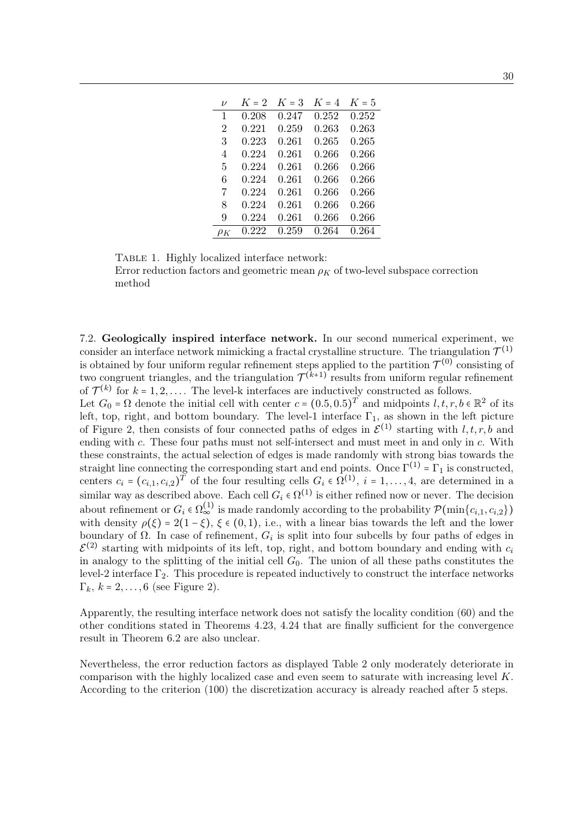| $\mathcal{U}$ | $K=2$ | $K=3$       | $K = 4$ | $K=5$     |
|---------------|-------|-------------|---------|-----------|
| 1             | 0.208 | 0.247       | 0.252   | 0.252     |
| 2             | 0.221 | 0.259       | 0.263   | 0.263     |
| 3             | 0.223 | 0.261       | 0.265   | 0.265     |
| 4             | 0.224 | 0.261       | 0.266   | ${0.266}$ |
| 5             | 0.224 | 0.261       | 0.266   | ${0.266}$ |
| 6             | 0.224 | 0.261       | 0.266   | ${0.266}$ |
| 7             | 0.224 | $\,0.261\,$ | 0.266   | ${0.266}$ |
| 8             | 0.224 | 0.261       | 0.266   | ${0.266}$ |
| 9             | 0.224 | $\,0.261\,$ | 0.266   | 0.266     |
| $\rho_K$      | 0.222 | 0.259       | 0.264   | 0.264     |

TABLE 1. Highly localized interface network:

Error reduction factors and geometric mean  $\rho_K$  of two-level subspace correction method

7.2. Geologically inspired interface network. In our second numerical experiment, we consider an interface network mimicking a fractal crystalline structure. The triangulation  $\mathcal{T}^{(1)}$ is obtained by four uniform regular refinement steps applied to the partition  $\mathcal{T}^{(0)}$  consisting of two congruent triangles, and the triangulation  $\mathcal{T}^{(k+1)}$  results from uniform regular refinement of  $\mathcal{T}^{(k)}$  for  $k = 1, 2, \ldots$ . The level-k interfaces are inductively constructed as follows. Let  $G_0 = \Omega$  denote the initial cell with center  $c = (0.5, 0.5)^T$  and midpoints  $l, t, r, b \in \mathbb{R}^2$  of its

left, top, right, and bottom boundary. The level-1 interface  $\Gamma_1$ , as shown in the left picture of Figure 2, then consists of four connected paths of edges in  $\mathcal{E}^{(1)}$  starting with  $l, t, r, b$  and ending with c. These four paths must not self-intersect and must meet in and only in c. With these constraints, the actual selection of edges is made randomly with strong bias towards the straight line connecting the corresponding start and end points. Once  $\Gamma^{(1)} = \Gamma_1$  is constructed, centers  $c_i = (c_{i,1}, c_{i,2})^T$  of the four resulting cells  $G_i \in \Omega^{(1)}$ ,  $i = 1, \ldots, 4$ , are determined in a similar way as described above. Each cell  $G_i \in \Omega^{(1)}$  is either refined now or never. The decision about refinement or  $G_i \in \Omega_{\infty}^{(1)}$  is made randomly according to the probability  $\mathcal{P}(\min\{c_{i,1},c_{i,2}\})$ with density  $\rho(\xi) = 2(1 - \xi)$ ,  $\xi \in (0, 1)$ , i.e., with a linear bias towards the left and the lower boundary of  $\Omega$ . In case of refinement,  $G_i$  is split into four subcells by four paths of edges in  $\mathcal{E}^{(2)}$  starting with midpoints of its left, top, right, and bottom boundary and ending with  $c_i$ in analogy to the splitting of the initial cell  $G_0$ . The union of all these paths constitutes the level-2 interface  $\Gamma_2$ . This procedure is repeated inductively to construct the interface networks  $\Gamma_k$ ,  $k = 2, \ldots, 6$  (see Figure 2).

Apparently, the resulting interface network does not satisfy the locality condition (60) and the other conditions stated in Theorems 4.23, 4.24 that are finally sufficient for the convergence result in Theorem 6.2 are also unclear.

Nevertheless, the error reduction factors as displayed Table 2 only moderately deteriorate in comparison with the highly localized case and even seem to saturate with increasing level K. According to the criterion (100) the discretization accuracy is already reached after 5 steps.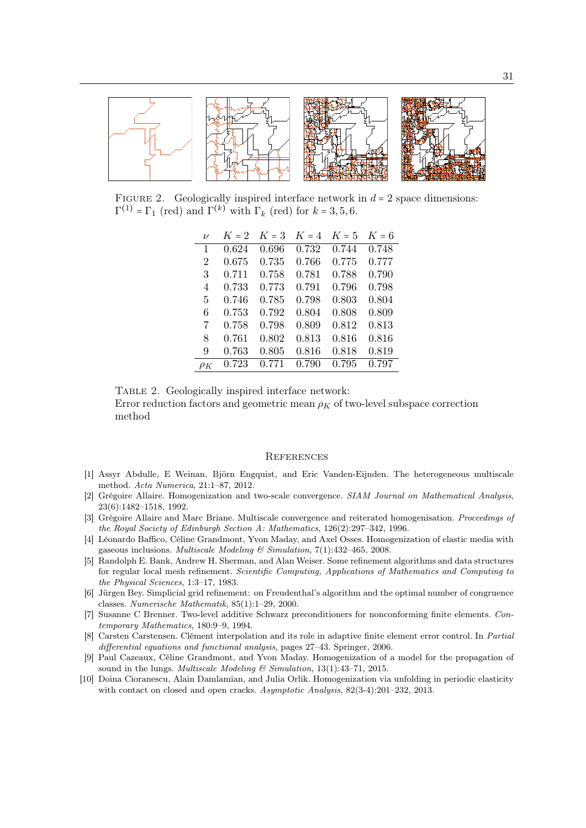

FIGURE 2. Geologically inspired interface network in  $d = 2$  space dimensions:  $\Gamma^{(1)} = \Gamma_1$  (red) and  $\Gamma^{(k)}$  with  $\Gamma_k$  (red) for  $k = 3, 5, 6$ .

| $\nu$                       | $K=2$ | $K = 3$ | $K = 4$ | $K = 5$ | $K=6$ |
|-----------------------------|-------|---------|---------|---------|-------|
| 1                           | 0.624 | 0.696   | 0.732   | 0.744   | 0.748 |
| $\mathcal{D}_{\mathcal{L}}$ | 0.675 | 0.735   | 0.766   | 0.775   | 0.777 |
| 3                           | 0.711 | 0.758   | 0.781   | 0.788   | 0.790 |
| 4                           | 0.733 | 0.773   | 0.791   | 0.796   | 0.798 |
| 5                           | 0.746 | 0.785   | 0.798   | 0.803   | 0.804 |
| 6                           | 0.753 | 0.792   | 0.804   | 0.808   | 0.809 |
| 7                           | 0.758 | 0.798   | 0.809   | 0.812   | 0.813 |
| 8                           | 0.761 | 0.802   | 0.813   | 0.816   | 0.816 |
| 9                           | 0.763 | 0.805   | 0.816   | 0.818   | 0.819 |
| $\rho_K$                    | 0.723 | 0.771   | 0.790   | 0.795   | 0.797 |

Table 2. Geologically inspired interface network:

Error reduction factors and geometric mean  $\rho_K$  of two-level subspace correction method

## **REFERENCES**

- [1] Assyr Abdulle, E Weinan, Björn Engquist, and Eric Vanden-Eijnden. The heterogeneous multiscale method. Acta Numerica, 21:1–87, 2012.
- [2] Grégoire Allaire. Homogenization and two-scale convergence. SIAM Journal on Mathematical Analysis, 23(6):1482–1518, 1992.
- [3] Grégoire Allaire and Marc Briane. Multiscale convergence and reiterated homogenisation. Proceedings of the Royal Society of Edinburgh Section A: Mathematics, 126(2):297–342, 1996.
- [4] Léonardo Baffico, Céline Grandmont, Yvon Maday, and Axel Osses. Homogenization of elastic media with gaseous inclusions. Multiscale Modeling & Simulation,  $7(1):432-465$ , 2008.
- [5] Randolph E. Bank, Andrew H. Sherman, and Alan Weiser. Some refinement algorithms and data structures for regular local mesh refinement. Scientific Computing, Applications of Mathematics and Computing to the Physical Sciences, 1:3–17, 1983.
- [6] Jürgen Bey. Simplicial grid refinement: on Freudenthal's algorithm and the optimal number of congruence classes. Numerische Mathematik, 85(1):1–29, 2000.
- [7] Susanne C Brenner. Two-level additive Schwarz preconditioners for nonconforming finite elements. Contemporary Mathematics, 180:9–9, 1994.
- [8] Carsten Carstensen. Clément interpolation and its role in adaptive finite element error control. In Partial differential equations and functional analysis, pages 27–43. Springer, 2006.
- [9] Paul Cazeaux, Céline Grandmont, and Yvon Maday. Homogenization of a model for the propagation of sound in the lungs. Multiscale Modeling & Simulation, 13(1):43-71, 2015.
- [10] Doina Cioranescu, Alain Damlamian, and Julia Orlik. Homogenization via unfolding in periodic elasticity with contact on closed and open cracks. Asymptotic Analysis,  $82(3-4):201-232$ , 2013.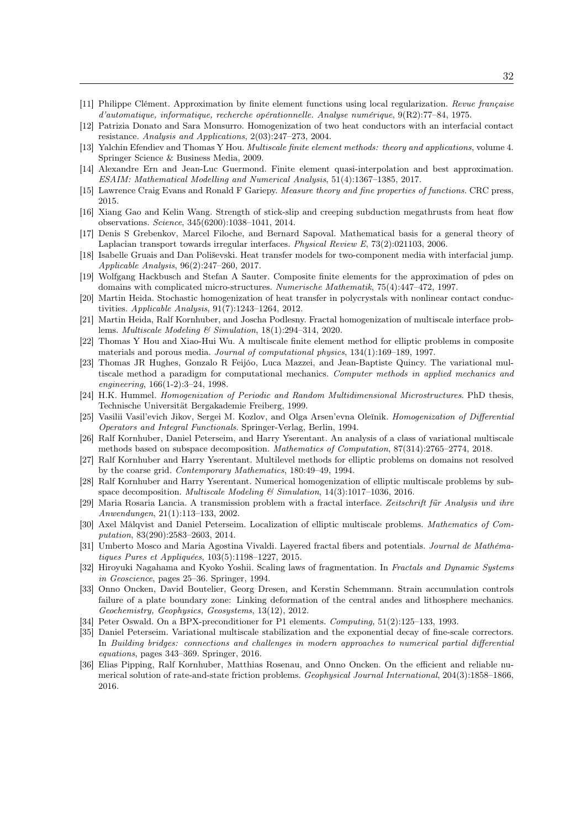- [11] Philippe Clément. Approximation by finite element functions using local regularization. Revue française d'automatique, informatique, recherche opérationnelle. Analyse numérique, 9(R2):77–84, 1975.
- [12] Patrizia Donato and Sara Monsurro. Homogenization of two heat conductors with an interfacial contact resistance. Analysis and Applications, 2(03):247–273, 2004.
- [13] Yalchin Efendiev and Thomas Y Hou. Multiscale finite element methods: theory and applications, volume 4. Springer Science & Business Media, 2009.
- [14] Alexandre Ern and Jean-Luc Guermond. Finite element quasi-interpolation and best approximation. ESAIM: Mathematical Modelling and Numerical Analysis, 51(4):1367–1385, 2017.
- [15] Lawrence Craig Evans and Ronald F Gariepy. Measure theory and fine properties of functions. CRC press, 2015.
- [16] Xiang Gao and Kelin Wang. Strength of stick-slip and creeping subduction megathrusts from heat flow observations. Science, 345(6200):1038–1041, 2014.
- [17] Denis S Grebenkov, Marcel Filoche, and Bernard Sapoval. Mathematical basis for a general theory of Laplacian transport towards irregular interfaces. Physical Review E, 73(2):021103, 2006.
- [18] Isabelle Gruais and Dan Poliševski. Heat transfer models for two-component media with interfacial jump. Applicable Analysis, 96(2):247–260, 2017.
- [19] Wolfgang Hackbusch and Stefan A Sauter. Composite finite elements for the approximation of pdes on domains with complicated micro-structures. Numerische Mathematik, 75(4):447–472, 1997.
- [20] Martin Heida. Stochastic homogenization of heat transfer in polycrystals with nonlinear contact conductivities. Applicable Analysis, 91(7):1243–1264, 2012.
- [21] Martin Heida, Ralf Kornhuber, and Joscha Podlesny. Fractal homogenization of multiscale interface problems. Multiscale Modeling & Simulation, 18(1):294–314, 2020.
- [22] Thomas Y Hou and Xiao-Hui Wu. A multiscale finite element method for elliptic problems in composite materials and porous media. Journal of computational physics, 134(1):169–189, 1997.
- [23] Thomas JR Hughes, Gonzalo R Feijóo, Luca Mazzei, and Jean-Baptiste Quincy. The variational multiscale method a paradigm for computational mechanics. Computer methods in applied mechanics and engineering, 166(1-2):3–24, 1998.
- [24] H.K. Hummel. Homogenization of Periodic and Random Multidimensional Microstructures. PhD thesis, Technische Universität Bergakademie Freiberg, 1999.
- [25] Vasilii Vasil'evich Jikov, Sergei M. Kozlov, and Olga Arsen'evna Oleĭnik. Homogenization of Differential Operators and Integral Functionals. Springer-Verlag, Berlin, 1994.
- [26] Ralf Kornhuber, Daniel Peterseim, and Harry Yserentant. An analysis of a class of variational multiscale methods based on subspace decomposition. Mathematics of Computation, 87(314):2765–2774, 2018.
- [27] Ralf Kornhuber and Harry Yserentant. Multilevel methods for elliptic problems on domains not resolved by the coarse grid. Contemporary Mathematics, 180:49–49, 1994.
- [28] Ralf Kornhuber and Harry Yserentant. Numerical homogenization of elliptic multiscale problems by subspace decomposition. Multiscale Modeling & Simulation, 14(3):1017–1036, 2016.
- [29] Maria Rosaria Lancia. A transmission problem with a fractal interface. Zeitschrift für Analysis und ihre Anwendungen, 21(1):113–133, 2002.
- [30] Axel Målqvist and Daniel Peterseim. Localization of elliptic multiscale problems. Mathematics of Computation, 83(290):2583–2603, 2014.
- [31] Umberto Mosco and Maria Agostina Vivaldi. Layered fractal fibers and potentials. Journal de Mathématiques Pures et Appliquées, 103(5):1198–1227, 2015.
- [32] Hiroyuki Nagahama and Kyoko Yoshii. Scaling laws of fragmentation. In Fractals and Dynamic Systems in Geoscience, pages 25–36. Springer, 1994.
- [33] Onno Oncken, David Boutelier, Georg Dresen, and Kerstin Schemmann. Strain accumulation controls failure of a plate boundary zone: Linking deformation of the central andes and lithosphere mechanics. Geochemistry, Geophysics, Geosystems, 13(12), 2012.
- [34] Peter Oswald. On a BPX-preconditioner for P1 elements. *Computing*, 51(2):125–133, 1993.
- [35] Daniel Peterseim. Variational multiscale stabilization and the exponential decay of fine-scale correctors. In Building bridges: connections and challenges in modern approaches to numerical partial differential equations, pages 343–369. Springer, 2016.
- [36] Elias Pipping, Ralf Kornhuber, Matthias Rosenau, and Onno Oncken. On the efficient and reliable numerical solution of rate-and-state friction problems. Geophysical Journal International, 204(3):1858–1866, 2016.